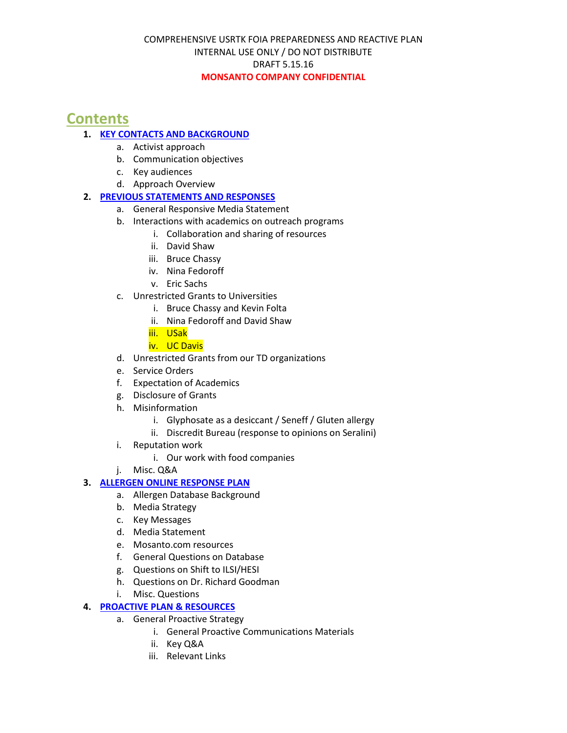# **Contents**

## **1. KEY CONTACTS AND BACKGROUND**

- a. Activist approach
- b. Communication objectives
- c. Key audiences
- d. Approach Overview

## **2. PREVIOUS STATEMENTS AND RESPONSES**

- a. General Responsive Media Statement
- b. Interactions with academics on outreach programs
	- i. Collaboration and sharing of resources
	- ii. David Shaw
	- iii. Bruce Chassy
	- iv. Nina Fedoroff
	- v. Eric Sachs
- c. Unrestricted Grants to Universities
	- i. Bruce Chassy and Kevin Folta
	- ii. Nina Fedoroff and David Shaw
	- iii. USak
	- iv. UC Davis
- d. Unrestricted Grants from our TD organizations
- e. Service Orders
- f. Expectation of Academics
- g. Disclosure of Grants
- h. Misinformation
	- i. Glyphosate as a desiccant / Seneff / Gluten allergy
	- ii. Discredit Bureau (response to opinions on Seralini)
- i. Reputation work
	- i. Our work with food companies
- j. Misc. Q&A

#### **3. ALLERGEN ONLINE RESPONSE PLAN**

- a. Allergen Database Background
- b. Media Strategy
- c. Key Messages
- d. Media Statement
- e. Mosanto.com resources
- f. General Questions on Database
- g. Questions on Shift to ILSI/HESI
- h. Questions on Dr. Richard Goodman
- i. Misc. Questions

#### **4. PROACTIVE PLAN & RESOURCES**

- a. General Proactive Strategy
	- i. General Proactive Communications Materials
	- ii. Key Q&A
	- iii. Relevant Links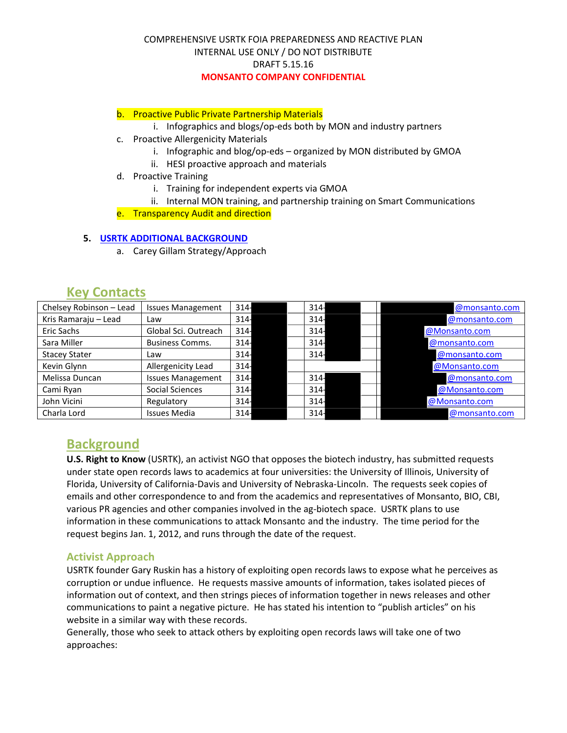#### b. Proactive Public Private Partnership Materials

- i. Infographics and blogs/op-eds both by MON and industry partners
- c. Proactive Allergenicity Materials
	- i. Infographic and blog/op-eds organized by MON distributed by GMOA
	- ii. HESI proactive approach and materials
- d. Proactive Training
	- i. Training for independent experts via GMOA
	- ii. Internal MON training, and partnership training on Smart Communications
- e. Transparency Audit and direction

#### **5. USRTK ADDITIONAL BACKGROUND**

a. Carey Gillam Strategy/Approach

| $\cdots$ , $\cdots$     |                          |        |        |               |
|-------------------------|--------------------------|--------|--------|---------------|
| Chelsey Robinson - Lead | <b>Issues Management</b> | $314-$ | $314-$ | @monsanto.com |
| Kris Ramaraju - Lead    | Law                      | $314-$ | $314-$ | @monsanto.com |
| Eric Sachs              | Global Sci. Outreach     | $314-$ | $314-$ | @Monsanto.com |
| Sara Miller             | <b>Business Comms.</b>   | $314-$ | $314-$ | @monsanto.com |
| <b>Stacey Stater</b>    | Law                      | $314-$ | $314-$ | @monsanto.com |
| Kevin Glynn             | Allergenicity Lead       | $314-$ |        | @Monsanto.com |
| Melissa Duncan          | <b>Issues Management</b> | $314-$ | $314-$ | @monsanto.com |
| Cami Ryan               | Social Sciences          | $314-$ | $314-$ | @Monsanto.com |
| John Vicini             | Regulatory               | $314-$ | $314-$ | @Monsanto.com |
| Charla Lord             | <b>Issues Media</b>      | $314-$ | $314-$ | @monsanto.com |

## **Key Contacts**

**Background**<br>**U.S. Right to Know** (USRTK), an activist NGO that opposes the biotech industry, has submitted requests under state open records laws to academics at four universities: the University of Illinois, University of Florida, University of California-Davis and University of Nebraska-Lincoln. The requests seek copies of emails and other correspondence to and from the academics and representatives of Monsanto, BIO, CBI, various PR agencies and other companies involved in the ag-biotech space. USRTK plans to use information in these communications to attack [Monsanto](https://www.baumhedlundlaw.com/) and the industry. The time period for the request begins Jan. 1, 2012, and runs through the date of the request.

## **Activist Approach**

USRTK founder Gary Ruskin has a history of exploiting open records laws to expose what he perceives as corruption or undue influence. He requests massive amounts of information, takes isolated pieces of information out of context, and then strings pieces of information together in news releases and other communications to paint a negative picture. He has stated his intention to "publish articles" on his website in a similar way with these records.

Generally, those who seek to attack others by exploiting open records laws will take one of two approaches: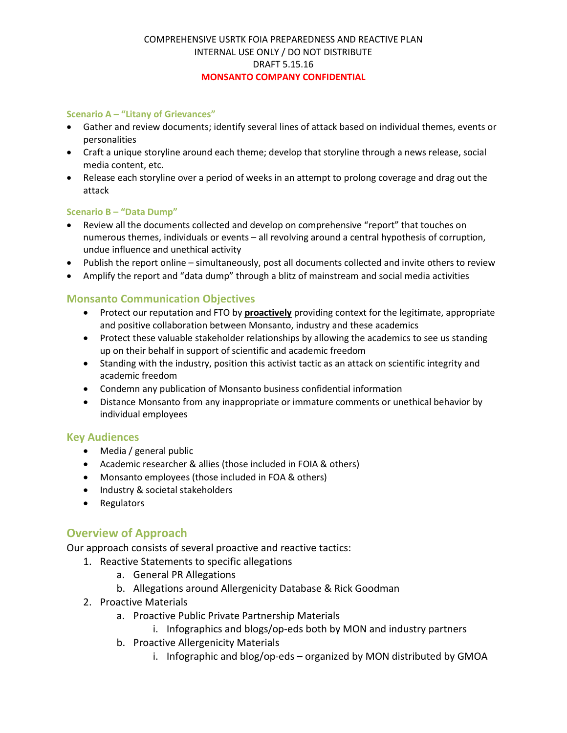#### **Scenario A – "Litany of Grievances"**

- Gather and review documents; identify several lines of attack based on individual themes, events or personalities
- Craft a unique storyline around each theme; develop that storyline through a news release, social media content, etc.
- Release each storyline over a period of weeks in an attempt to prolong coverage and drag out the attack

#### **Scenario B – "Data Dump"**

- Review all the documents collected and develop on comprehensive "report" that touches on numerous themes, individuals or events – all revolving around a central hypothesis of corruption, undue influence and unethical activity
- Publish the report online simultaneously, post all documents collected and invite others to review
- Amplify the report and "data dump" through a blitz of mainstream and social media activities

## **Monsanto Communication Objectives**

- Protect our reputation and FTO by **proactively** providing context for the legitimate, appropriate and positive collaboration between Monsanto, industry and these academics
- Protect these valuable stakeholder relationships by allowing the academics to see us standing up on their behalf in support of scientific and academic freedom
- Standing with the industry, position this activist tactic as an attack on scientific integrity and academic freedom
- Condemn any publication of Monsanto business confidential information
- Distance Monsanto from any inappropriate or immature comments or unethical behavior by individual employees

#### **Key Audiences**

- Media / general public
- Academic researcher & allies (those included in FOIA & others)
- Monsanto employees (those included in FOA & others)
- Industry & societal stakeholders
- Regulators

## **Overview of Approach**

Our approach consists of several proactive and reactive tactics:

- 1. Reactive Statements to specific allegations
	- a. General PR Allegations
	- b. Allegations around Allergenicity Database & Rick Goodman
- 2. Proactive Materials
	- a. Proactive Public Private Partnership Materials
		- i. Infographics and blogs/op-eds both by MON and industry partners
	- b. Proactive Allergenicity Materials
		- i. Infographic and blog/op-eds organized by MON distributed by GMOA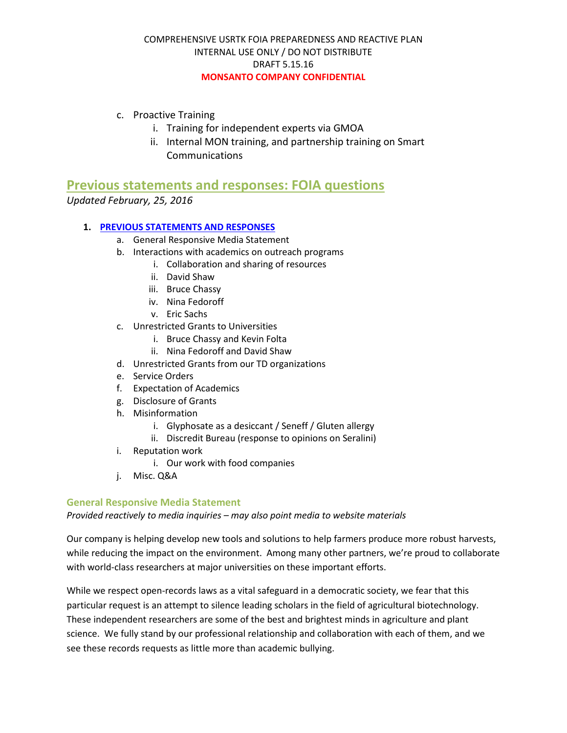- c. Proactive Training
	- i. Training for independent experts via GMOA
	- ii. Internal MON training, and partnership training on Smart Communications

**Previous statements and responses: FOIA questions**

*Updated February, 25, 2016*

#### **1. PREVIOUS STATEMENTS AND RESPONSES**

- a. General Responsive Media Statement
- b. Interactions with academics on outreach programs
	- i. Collaboration and sharing of resources
	- ii. David Shaw
	- iii. Bruce Chassy
	- iv. Nina Fedoroff
	- v. Eric Sachs
- c. Unrestricted Grants to Universities
	- i. Bruce Chassy and Kevin Folta
	- ii. Nina Fedoroff and David Shaw
- d. Unrestricted Grants from our TD organizations
- e. Service Orders
- f. Expectation of Academics
- g. Disclosure of Grants
- h. Misinformation
	- i. Glyphosate as a desiccant / Seneff / Gluten allergy
	- ii. Discredit Bureau (response to opinions on Seralini)
- i. Reputation work
	- i. Our work with food companies
- j. Misc. Q&A

#### **General Responsive Media Statement**

*Provided reactively to media inquiries – may also point media to website materials*

Our company is helping develop new tools and solutions to help farmers produce more robust harvests, while reducing the impact on the environment. Among many other partners, we're proud to collaborate with world-class researchers at major universities on these important efforts.

While we respect open-records laws as a vital safeguard in a democratic society, we fear that this particular request is an attempt to silence leading scholars in the field of agricultural biotechnology. These independent researchers are some of the best and brightest minds in agriculture and plant science. We fully stand by our professional relationship and collaboration with each of them, and we see these records requests as little more than academic bullying.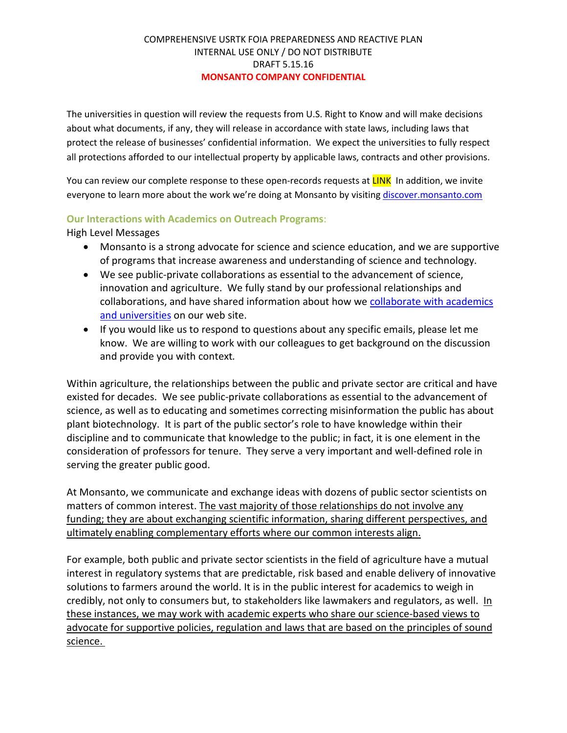The universities in question will review the requests from U.S. Right to Know and will make decisions about what documents, if any, they will release in accordance with state laws, including laws that protect the release of businesses' confidential information. We expect the universities to fully respect all protections afforded to our intellectual property by applicable laws, contracts and other provisions.

You can review our complete response to these open-records requests at **LINK** In addition, we invite everyone to learn more about the work we're doing at Monsanto by visiting discover.monsanto.com

## **Our Interactions with Academics on Outreach Programs**:

High Level Messages

- Monsanto is a strong advocate for science and science education, and we are supportive of programs that increase awareness and understanding of science and technology.
- We see public-private collaborations as essential to the advancement of science, innovation and agriculture. We fully stand by our professional relationships and collaborations, and have shared information about how we collaborate with academics and universities on our web site.
- If you would like us to respond to questions about any specific emails, please let me know. We are willing to work with our colleagues to get background on the discussion and provide you with context*.*

Within agriculture, the relationships between the public and private sector are critical and have existed for decades. We see public-private collaborations as essential to the advancement of science, as well as to educating and sometimes correcting misinformation the public has about plant biotechnology. It is part of the public sector's role to have knowledge within their discipline and to communicate that knowledge to the public; in fact, it is one element in the consideration of professors for tenure. They serve a very important and well-defined role in serving the greater public good.

At Monsanto, we communicate and exchange ideas with dozens of public sector scientists on matters of common interest. The vast majority of those relationships do not involve any funding; they are about exchanging scientific information, sharing different perspectives, and ultimately enabling complementary efforts where our common interests align.

For example, both public and private sector scientists in the field of agriculture have a mutual interest in regulatory systems that are predictable, risk based and enable delivery of innovative solutions to farmers around the world. It is in the public interest for academics to weigh in credibly, not only to consumers but, to stakeholders like lawmakers and regulators, as well. In these instances, we may work with academic experts who share our science-based views to advocate for supportive policies, regulation and laws that are based on the principles of sound science.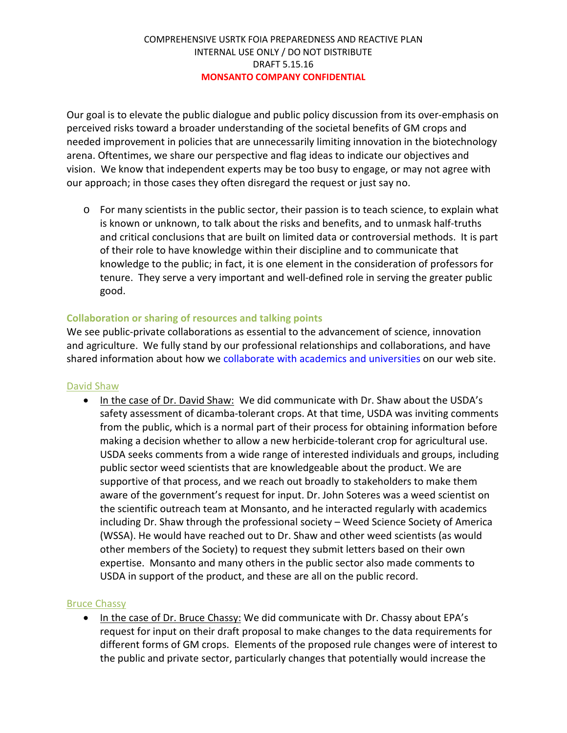Our goal is to elevate the public dialogue and public policy discussion from its over-emphasis on perceived risks toward a broader understanding of the societal benefits of GM crops and needed improvement in policies that are unnecessarily limiting innovation in the biotechnology arena. Oftentimes, we share our perspective and flag ideas to indicate our objectives and vision. We know that independent experts may be too busy to engage, or may not agree with our approach; in those cases they often disregard the request or just say no.

o For many scientists in the public sector, their passion is to teach science, to explain what is known or unknown, to talk about the risks and benefits, and to unmask half-truths and critical conclusions that are built on limited data or controversial methods. It is part of their role to have knowledge within their discipline and to communicate that knowledge to the public; in fact, it is one element in the consideration of professors for tenure. They serve a very important and well-defined role in serving the greater public good.

## **Collaboration or sharing of resources and talking points**

We see public-private collaborations as essential to the advancement of science, innovation and agriculture. We fully stand by our professional relationships and collaborations, and have shared information about how we collaborate with academics and universities on our web site.

#### David Shaw

• In the case of Dr. David Shaw: We did communicate with Dr. Shaw about the USDA's safety assessment of dicamba-tolerant crops. At that time, USDA was inviting comments from the public, which is a normal part of their process for obtaining information before making a decision whether to allow a new herbicide-tolerant crop for agricultural use. USDA seeks comments from a wide range of interested individuals and groups, including public sector weed scientists that are knowledgeable about the product. We are supportive of that process, and we reach out broadly to stakeholders to make them aware of the government's request for input. Dr. John Soteres was a weed scientist on the scientific outreach team at Monsanto, and he interacted regularly with academics including Dr. Shaw through the professional society – Weed Science Society of America (WSSA). He would have reached out to Dr. Shaw and other weed scientists (as would other members of the Society) to request they submit letters based on their own expertise. Monsanto and many others in the public sector also made comments to USDA in support of the product, and these are all on the public record.

#### Bruce Chassy

• In the case of Dr. Bruce Chassy: We did communicate with Dr. Chassy about EPA's request for input on their draft proposal to make changes to the data requirements for different forms of GM crops. Elements of the proposed rule changes were of interest to the public and private sector, particularly changes that potentially would increase the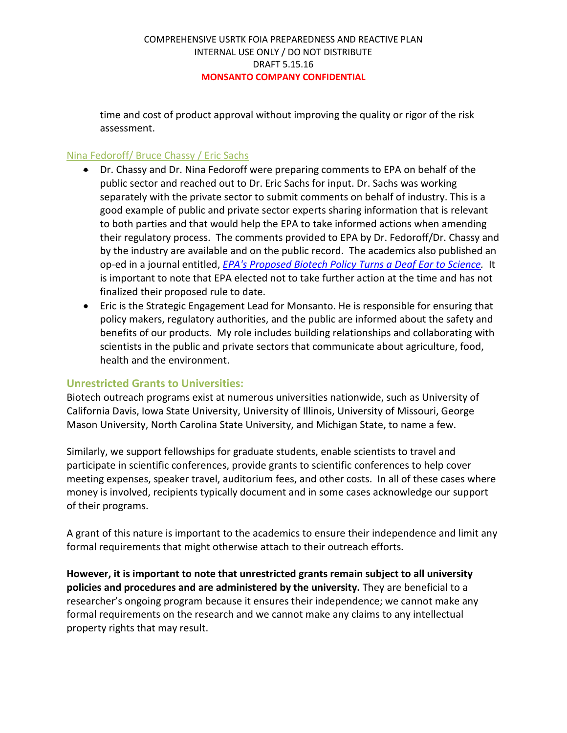time and cost of product approval without improving the quality or rigor of the risk assessment.

## Nina Fedoroff/ Bruce Chassy / Eric Sachs

- Dr. Chassy and Dr. Nina Fedoroff were preparing comments to EPA on behalf of the public sector and reached out to Dr. Eric Sachs for input. Dr. Sachs was working separately with the private sector to submit comments on behalf of industry. This is a good example of public and private sector experts sharing information that is relevant to both parties and that would help the EPA to take informed actions when amending their regulatory process. The comments provided to EPA by Dr. Fedoroff/Dr. Chassy and by the industry are available and on the public record. The academics also published an op-ed in a journal entitled, *EPA's Proposed Biotech Policy Turns a Deaf Ear to Science.* It is important to note that EPA elected not to take further action at the time and has not finalized their proposed rule to date.
- Eric is the Strategic Engagement Lead for Monsanto. He is responsible for ensuring that policy makers, regulatory authorities, and the public are informed about the safety and benefits of our products. My role includes building relationships and collaborating with scientists in the public and private sectors that communicate about agriculture, food, health and the environment.

## **Unrestricted Grants to Universities:**

Biotech outreach programs exist at numerous universities nationwide, such as University of California Davis, Iowa State University, University of Illinois, University of Missouri, George Mason University, North Carolina State University, and Michigan State, to name a few.

Similarly, we support fellowships for graduate students, enable scientists to travel and participate in scientific conferences, provide grants to scientific conferences to help cover meeting expenses, speaker travel, auditorium fees, and other costs. In all of these cases where money is involved, recipients typically document and in some cases acknowledge our support of their programs.

A grant of this nature is important to the academics to ensure their independence and limit any formal requirements that might otherwise attach to their outreach efforts.

**However, it is important to note that unrestricted grants remain subject to all university policies and procedures and are administered by the university.** They are beneficial to a researcher's ongoing program because it ensures their independence; we cannot make any formal requirements on the research and we cannot make any claims to any intellectual property rights that may result.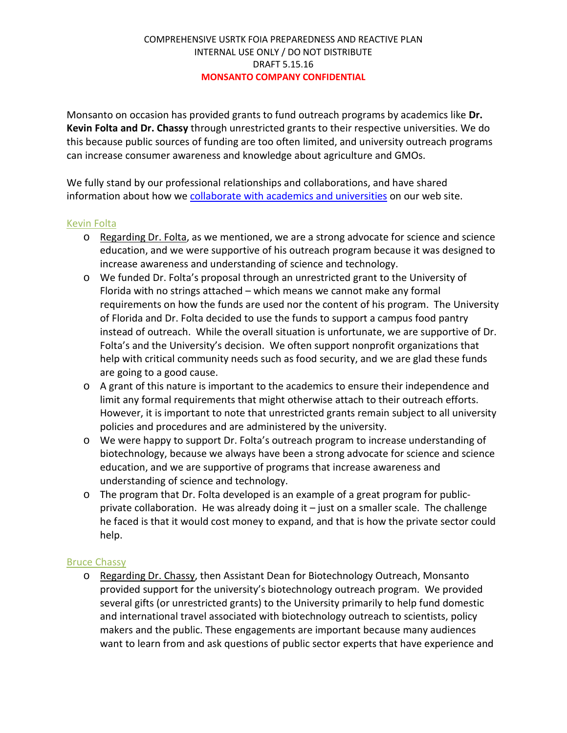Monsanto on occasion has provided grants to fund outreach programs by academics like **Dr. Kevin Folta and Dr. Chassy** through unrestricted grants to their respective universities. We do this because public sources of funding are too often limited, and university outreach programs can increase consumer awareness and knowledge about agriculture and GMOs.

We fully stand by our professional relationships and collaborations, and have shared information about how we collaborate with academics and universities on our web site.

## Kevin Folta

- o Regarding Dr. Folta, as we mentioned, we are a strong advocate for science and science education, and we were supportive of his outreach program because it was designed to increase awareness and understanding of science and technology.
- o We funded Dr. Folta's proposal through an unrestricted grant to the University of Florida with no strings attached – which means we cannot make any formal requirements on how the funds are used nor the content of his program. The University of Florida and Dr. Folta decided to use the funds to support a campus food pantry instead of outreach. While the overall situation is unfortunate, we are supportive of Dr. Folta's and the University's decision. We often support nonprofit organizations that help with critical community needs such as food security, and we are glad these funds are going to a good cause.
- o A grant of this nature is important to the academics to ensure their independence and limit any formal requirements that might otherwise attach to their outreach efforts. However, it is important to note that unrestricted grants remain subject to all university policies and procedures and are administered by the university.
- o We were happy to support Dr. Folta's outreach program to increase understanding of biotechnology, because we always have been a strong advocate for science and science education, and we are supportive of programs that increase awareness and understanding of science and technology.
- o The program that Dr. Folta developed is an example of a great program for publicprivate collaboration. He was already doing it – just on a smaller scale. The challenge he faced is that it would cost money to expand, and that is how the private sector could help.

## Bruce Chassy

o Regarding Dr. Chassy, then Assistant Dean for Biotechnology Outreach, Monsanto provided support for the university's biotechnology outreach program. We provided several gifts (or unrestricted grants) to the University primarily to help fund domestic and international travel associated with biotechnology outreach to scientists, policy makers and the public. These engagements are important because many audiences want to learn from and ask questions of public sector experts that have experience and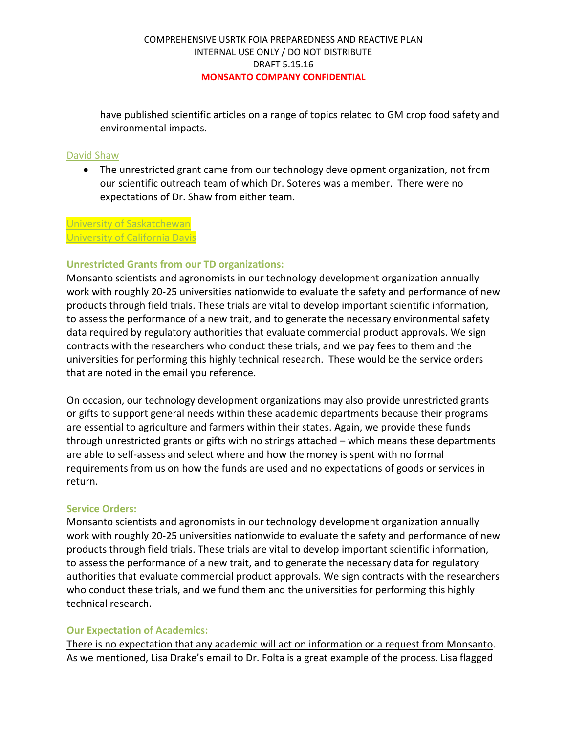have published scientific articles on a range of topics related to GM crop food safety and environmental impacts.

#### David Shaw

• The unrestricted grant came from our technology development organization, not from our scientific outreach team of which Dr. Soteres was a member. There were no expectations of Dr. Shaw from either team.

#### University of Saskatchewan University of California Davis

#### **Unrestricted Grants from our TD organizations:**

Monsanto scientists and agronomists in our technology development organization annually work with roughly 20-25 universities nationwide to evaluate the safety and performance of new products through field trials. These trials are vital to develop important scientific information, to assess the performance of a new trait, and to generate the necessary environmental safety data required by regulatory authorities that evaluate commercial product approvals. We sign contracts with the researchers who conduct these trials, and we pay fees to them and the universities for performing this highly technical research. These would be the service orders that are noted in the email you reference.

On occasion, our technology development organizations may also provide unrestricted grants or gifts to support general needs within these academic departments because their programs are essential to agriculture and farmers within their states. Again, we provide these funds through unrestricted grants or gifts with no strings attached – which means these departments are able to self-assess and select where and how the money is spent with no formal requirements from us on how the funds are used and no expectations of goods or services in return.

#### **Service Orders:**

Monsanto scientists and agronomists in our technology development organization annually work with roughly 20-25 universities nationwide to evaluate the safety and performance of new products through field trials. These trials are vital to develop important scientific information, to assess the performance of a new trait, and to generate the necessary data for regulatory authorities that evaluate commercial product approvals. We sign contracts with the researchers who conduct these trials, and we fund them and the universities for performing this highly technical research.

#### **Our Expectation of Academics:**

There is no expectation that any academic will act on information or a request from Monsanto. As we mentioned, Lisa Drake's email to Dr. Folta is a great example of the process. Lisa flagged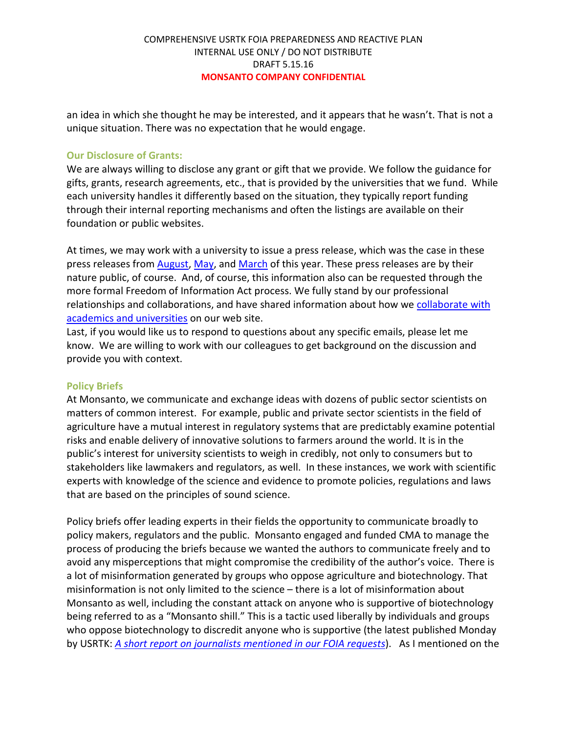an idea in which she thought he may be interested, and it appears that he wasn't. That is not a unique situation. There was no expectation that he would engage.

#### **Our Disclosure of Grants:**

We are always willing to disclose any grant or gift that we provide. We follow the guidance for gifts, grants, research agreements, etc., that is provided by the universities that we fund. While each university handles it differently based on the situation, they typically report funding through their internal reporting mechanisms and often the listings are available on their foundation or public websites.

At times, we may work with a university to issue a press release, which was the case in these press releases from **August, May, and March** of this year. These press releases are by their nature public, of course. And, of course, this information also can be requested through the more formal Freedom of Information Act process. We fully stand by our professional relationships and collaborations, and have shared information about how we collaborate with academics and universities on our web site.

Last, if you would like us to respond to questions about any specific emails, please let me know. We are willing to work with our colleagues to get background on the discussion and provide you with context.

#### **Policy Briefs**

At Monsanto, we communicate and exchange ideas with dozens of public sector scientists on matters of common interest. For example, public and private sector scientists in the field of agriculture have a mutual interest in regulatory systems that are predictably examine potential risks and enable delivery of innovative solutions to farmers around the world. It is in the public's interest for university scientists to weigh in credibly, not only to consumers but to stakeholders like lawmakers and regulators, as well. In these instances, we work with scientific experts with knowledge of the science and evidence to promote policies, regulations and laws that are based on the principles of sound science.

Policy briefs offer leading experts in their fields the opportunity to communicate broadly to policy makers, regulators and the public. Monsanto engaged and funded CMA to manage the process of producing the briefs because we wanted the authors to communicate freely and to avoid any misperceptions that might compromise the credibility of the author's voice. There is a lot of misinformation generated by groups who oppose agriculture and biotechnology. That misinformation is not only limited to the science – there is a lot of misinformation about Monsanto as well, including the constant attack on anyone who is supportive of biotechnology being referred to as a "Monsanto shill." This is a tactic used liberally by individuals and groups who oppose biotechnology to discredit anyone who is supportive (the latest published Monday by USRTK: *A short report on journalists mentioned in our FOIA requests*). As I mentioned on the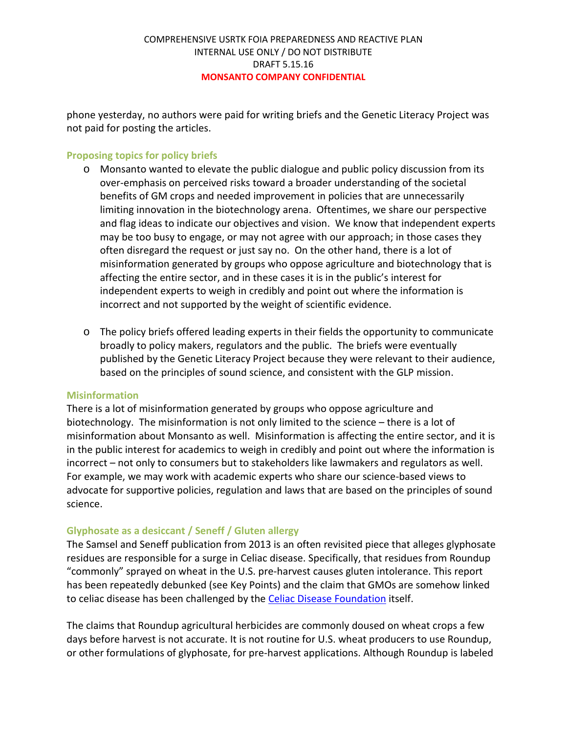phone yesterday, no authors were paid for writing briefs and the Genetic Literacy Project was not paid for posting the articles.

## **Proposing topics for policy briefs**

- o Monsanto wanted to elevate the public dialogue and public policy discussion from its over-emphasis on perceived risks toward a broader understanding of the societal benefits of GM crops and needed improvement in policies that are unnecessarily limiting innovation in the biotechnology arena. Oftentimes, we share our perspective and flag ideas to indicate our objectives and vision. We know that independent experts may be too busy to engage, or may not agree with our approach; in those cases they often disregard the request or just say no. On the other hand, there is a lot of misinformation generated by groups who oppose agriculture and biotechnology that is affecting the entire sector, and in these cases it is in the public's interest for independent experts to weigh in credibly and point out where the information is incorrect and not supported by the weight of scientific evidence.
- o The policy briefs offered leading experts in their fields the opportunity to communicate broadly to policy makers, regulators and the public. The briefs were eventually published by the Genetic Literacy Project because they were relevant to their audience, based on the principles of sound science, and consistent with the GLP mission.

#### **Misinformation**

There is a lot of misinformation generated by groups who oppose agriculture and biotechnology. The misinformation is not only limited to the science – there is a lot of misinformation about Monsanto as well. Misinformation is affecting the entire sector, and it is in the public interest for academics to weigh in credibly and point out where the information is incorrect – not only to consumers but to stakeholders like lawmakers and regulators as well. For example, we may work with academic experts who share our science-based views to advocate for supportive policies, regulation and laws that are based on the principles of sound science.

## **Glyphosate as a desiccant / Seneff / Gluten allergy**

The Samsel and Seneff publication from 2013 is an often revisited piece that alleges glyphosate residues are responsible for a surge in Celiac disease. Specifically, that residues from Roundup "commonly" sprayed on wheat in the U.S. pre-harvest causes gluten intolerance. This report has been repeatedly debunked (see Key Points) and the claim that GMOs are somehow linked to celiac disease has been challenged by the Celiac Disease Foundation itself.

The claims that Roundup agricultural herbicides are commonly doused on wheat crops a few days before harvest is not accurate. It is not routine for U.S. wheat producers to use Roundup, or other formulations of glyphosate, for pre-harvest applications. Although Roundup is labeled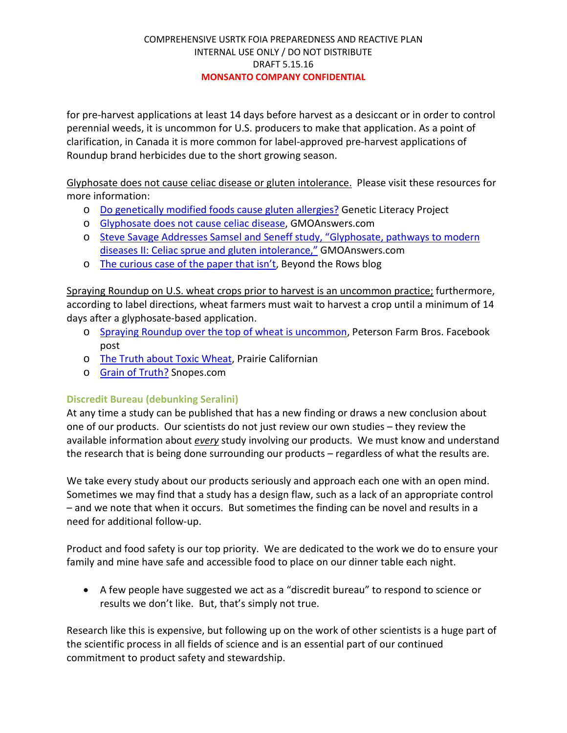for pre-harvest applications at least 14 days before harvest as a desiccant or in order to control perennial weeds, it is uncommon for U.S. producers to make that application. As a point of clarification, in Canada it is more common for label-approved pre-harvest applications of Roundup brand herbicides due to the short growing season.

Glyphosate does not cause celiac disease or gluten intolerance. Please visit these resources for more information:

- o Do genetically modified foods cause gluten allergies? Genetic Literacy Project
- o Glyphosate does not cause celiac disease, GMOAnswers.com
- o Steve Savage Addresses Samsel and Seneff study, "Glyphosate, pathways to modern diseases II: Celiac sprue and gluten intolerance," GMOAnswers.com
- o The curious case of the paper that isn't, Beyond the Rows blog

Spraying Roundup on U.S. wheat crops prior to harvest is an uncommon practice; furthermore, according to label directions, wheat farmers must wait to harvest a crop until a minimum of 14 days after a glyphosate-based application.

- o Spraying Roundup over the top of wheat is uncommon, Peterson Farm Bros. Facebook post
- o The Truth about Toxic Wheat, Prairie Californian
- o Grain of Truth? Snopes.com

## **Discredit Bureau (debunking Seralini)**

At any time a study can be published that has a new finding or draws a new conclusion about one of our products. Our scientists do not just review our own studies – they review the available information about *every* study involving our products. We must know and understand the research that is being done surrounding our products – regardless of what the results are.

We take every study about our products seriously and approach each one with an open mind. Sometimes we may find that a study has a design flaw, such as a lack of an appropriate control – and we note that when it occurs. But sometimes the finding can be novel and results in a need for additional follow-up.

Product and food safety is our top priority. We are dedicated to the work we do to ensure your family and mine have safe and accessible food to place on our dinner table each night.

• A few people have suggested we act as a "discredit bureau" to respond to science or results we don't like. But, that's simply not true.

Research like this is expensive, but following up on the work of other scientists is a huge part of the scientific process in all fields of science and is an essential part of our continued commitment to product safety and stewardship.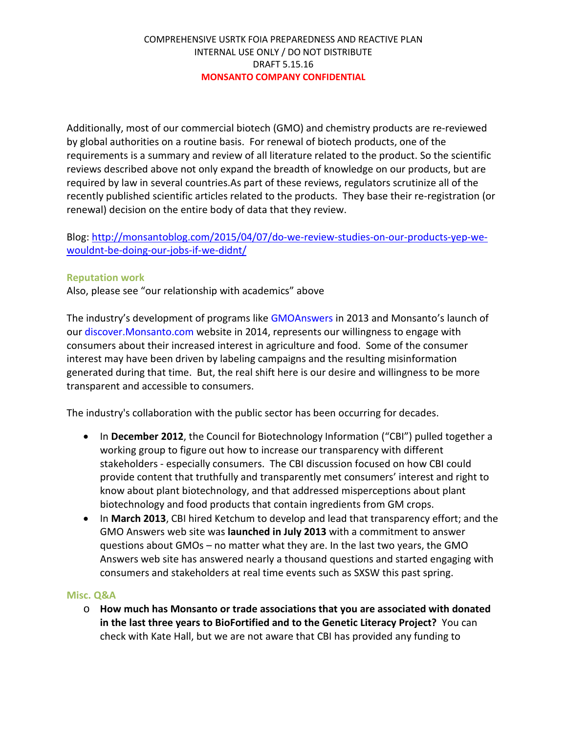Additionally, most of our commercial biotech (GMO) and chemistry products are re-reviewed by global authorities on a routine basis. For renewal of biotech products, one of the requirements is a summary and review of all literature related to the product. So the scientific reviews described above not only expand the breadth of knowledge on our products, but are required by law in several countries.As part of these reviews, regulators scrutinize all of the recently published scientific articles related to the products. They base their re-registration (or renewal) decision on the entire body of data that they review.

Blog: http://monsantoblog.com/2015/04/07/do-we-review-studies-on-our-products-yep-wewouldnt-be-doing-our-jobs-if-we-didnt/

## **Reputation work**

Also, please see "our relationship with academics" above

The industry's development of programs like GMOAnswers in 2013 and Monsanto's launch of our discover. Monsanto.com website in 2014, represents our willingness to engage with consumers about their increased interest in agriculture and food. Some of the consumer interest may have been driven by labeling campaigns and the resulting misinformation generated during that time. But, the real shift here is our desire and willingness to be more transparent and accessible to consumers.

The industry's collaboration with the public sector has been occurring for decades.

- In **December 2012**, the Council for Biotechnology Information ("CBI") pulled together a working group to figure out how to increase our transparency with different stakeholders - especially consumers. The CBI discussion focused on how CBI could provide content that truthfully and transparently met consumers' interest and right to know about plant biotechnology, and that addressed misperceptions about plant biotechnology and food products that contain ingredients from GM crops.
- In **March 2013**, CBI hired Ketchum to develop and lead that transparency effort; and the GMO Answers web site was **launched in July 2013** with a commitment to answer questions about GMOs – no matter what they are. In the last two years, the GMO Answers web site has answered nearly a thousand questions and started engaging with consumers and stakeholders at real time events such as SXSW this past spring.

#### **Misc. Q&A**

o **How much has Monsanto or trade associations that you are associated with donated in the last three years to BioFortified and to the Genetic Literacy Project?** You can check with Kate Hall, but we are not aware that CBI has provided any funding to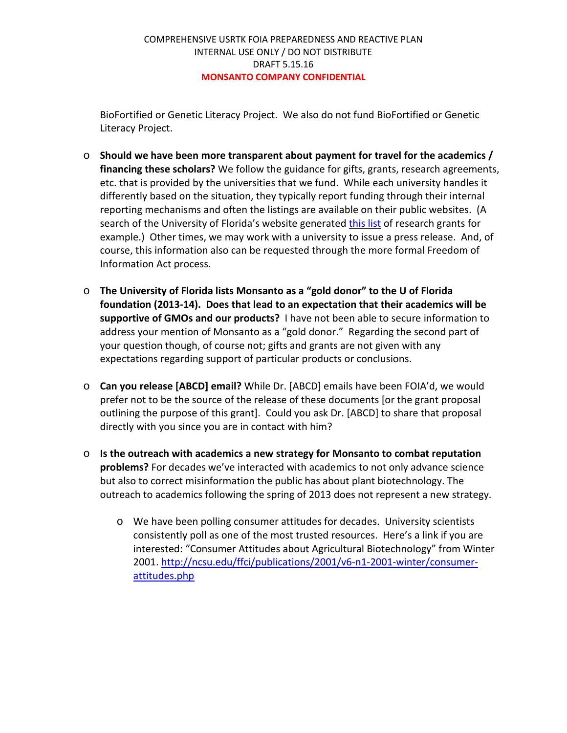BioFortified or Genetic Literacy Project. We also do not fund BioFortified or Genetic Literacy Project.

- o **Should we have been more transparent about payment for travel for the academics / financing these scholars?** We follow the guidance for gifts, grants, research agreements, etc. that is provided by the universities that we fund. While each university handles it differently based on the situation, they typically report funding through their internal reporting mechanisms and often the listings are available on their public websites. (A search of the University of Florida's website generated this list of research grants for example.) Other times, we may work with a university to issue a press release. And, of course, this information also can be requested through the more formal Freedom of Information Act process.
- o **The University of Florida lists Monsanto as a "gold donor" to the U of Florida foundation (2013-14). Does that lead to an expectation that their academics will be supportive of GMOs and our products?** I have not been able to secure information to address your mention of Monsanto as a "gold donor." Regarding the second part of your question though, of course not; gifts and grants are not given with any expectations regarding support of particular products or conclusions.
- o **Can you release [ABCD] email?** While Dr. [ABCD] emails have been FOIA'd, we would prefer not to be the source of the release of these documents [or the grant proposal outlining the purpose of this grant]. Could you ask Dr. [ABCD] to share that proposal directly with you since you are in contact with him?
- o **Is the outreach with academics a new strategy for Monsanto to combat reputation problems?** For decades we've interacted with academics to not only advance science but also to correct misinformation the public has about plant biotechnology. The outreach to academics following the spring of 2013 does not represent a new strategy.
	- o We have been polling consumer attitudes for decades. University scientists consistently poll as one of the most trusted resources. Here's a link if you are interested: "Consumer Attitudes about Agricultural Biotechnology" from Winter 2001. http://ncsu.edu/ffci/publications/2001/v6-n1-2001-winter/consumerattitudes.php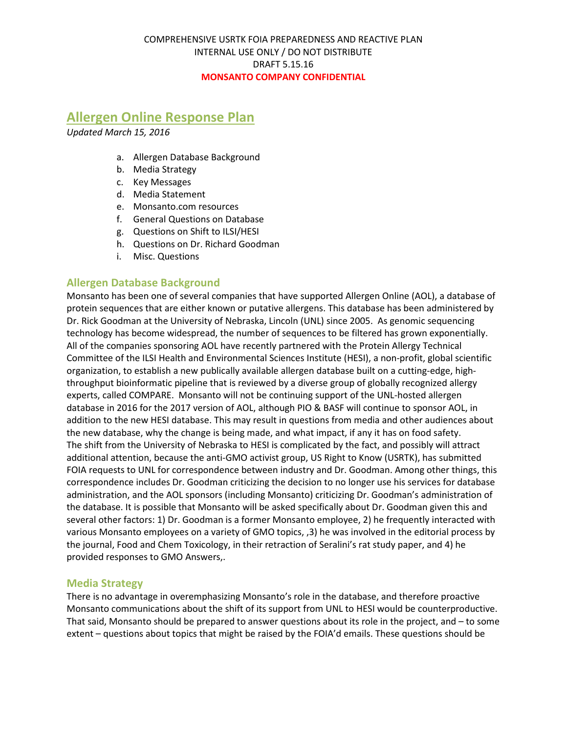# **Allergen Online Response Plan**

*Updated March 15, 2016*

- a. Allergen Database Background
- b. Media Strategy
- c. Key Messages
- d. Media Statement
- e. Monsanto.com resources
- f. General Questions on Database
- g. Questions on Shift to ILSI/HESI
- h. Questions on Dr. Richard Goodman
- i. Misc. Questions

## **Allergen Database Background**

Monsanto has been one of several companies that have supported Allergen Online (AOL), a database of protein sequences that are either known or putative allergens. This database has been administered by Dr. Rick Goodman at the University of Nebraska, Lincoln (UNL) since 2005. As genomic sequencing technology has become widespread, the number of sequences to be filtered has grown exponentially. All of the companies sponsoring AOL have recently partnered with the Protein Allergy Technical Committee of the ILSI Health and Environmental Sciences Institute (HESI), a non-profit, global scientific organization, to establish a new publically available allergen database built on a cutting-edge, highthroughput bioinformatic pipeline that is reviewed by a diverse group of globally recognized allergy experts, called COMPARE. Monsanto will not be continuing support of the UNL-hosted allergen database in 2016 for the 2017 version of AOL, although PIO & BASF will continue to sponsor AOL, in addition to the new HESI database. This may result in questions from media and other audiences about the new database, why the change is being made, and what impact, if any it has on food safety. The shift from the University of Nebraska to HESI is complicated by the fact, and possibly will attract additional attention, because the anti-GMO activist group, US Right to Know (USRTK), has submitted FOIA requests to UNL for correspondence between industry and Dr. Goodman. Among other things, this correspondence includes Dr. Goodman criticizing the decision to no longer use his services for database administration, and the AOL sponsors (including Monsanto) criticizing Dr. Goodman's administration of the database. It is possible that Monsanto will be asked specifically about Dr. Goodman given this and several other factors: 1) Dr. Goodman is a former Monsanto employee, 2) he frequently interacted with various Monsanto employees on a variety of GMO topics, ,3) he was involved in the editorial process by the journal, Food and Chem Toxicology, in their retraction of Seralini's rat study paper, and 4) he provided responses to GMO Answers,.

#### **Media Strategy**

There is no advantage in overemphasizing Monsanto's role in the database, and therefore proactive Monsanto communications about the shift of its support from UNL to HESI would be counterproductive. That said, Monsanto should be prepared to answer questions about its role in the project, and – to some extent – questions about topics that might be raised by the FOIA'd emails. These questions should be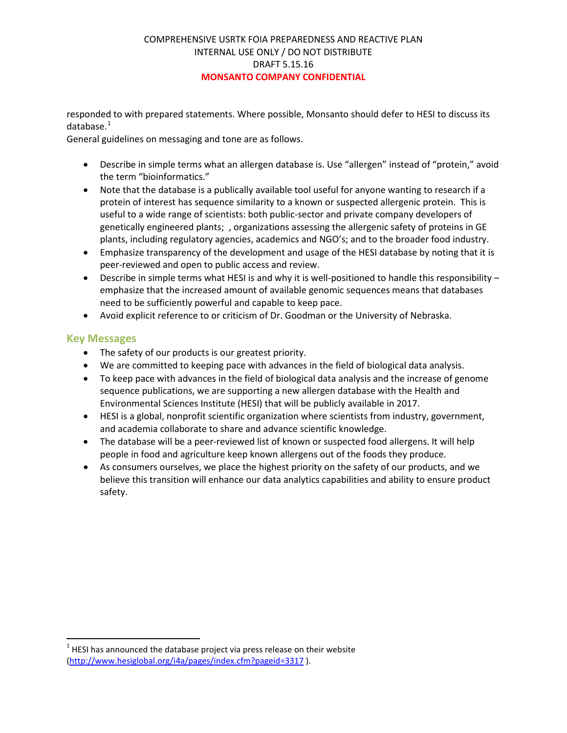responded to with prepared statements. Where possible, Monsanto should defer to HESI to discuss its database. $1$ 

General guidelines on messaging and tone are as follows.

- Describe in simple terms what an allergen database is. Use "allergen" instead of "protein," avoid the term "bioinformatics."
- Note that the database is a publically available tool useful for anyone wanting to research if a protein of interest has sequence similarity to a known or suspected allergenic protein. This is useful to a wide range of scientists: both public-sector and private company developers of genetically engineered plants; , organizations assessing the allergenic safety of proteins in GE plants, including regulatory agencies, academics and NGO's; and to the broader food industry.
- Emphasize transparency of the development and usage of the HESI database by noting that it is peer-reviewed and open to public access and review.
- Describe in simple terms what HESI is and why it is well-positioned to handle this responsibility  $$ emphasize that the increased amount of available genomic sequences means that databases need to be sufficiently powerful and capable to keep pace.
- Avoid explicit reference to or criticism of Dr. Goodman or the University of Nebraska.

## **Key Messages**

- The safety of our products is our greatest priority.
- We are committed to keeping pace with advances in the field of biological data analysis.
- To keep pace with advances in the field of biological data analysis and the increase of genome sequence publications, we are supporting a new allergen database with the Health and Environmental Sciences Institute (HESI) that will be publicly available in 2017.
- HESI is a global, nonprofit scientific organization where scientists from industry, government, and academia collaborate to share and advance scientific knowledge.
- The database will be a peer-reviewed list of known or suspected food allergens. It will help people in food and agriculture keep known allergens out of the foods they produce.
- As consumers ourselves, we place the highest priority on the safety of our products, and we believe this transition will enhance our data analytics capabilities and ability to ensure product safety.

 $1$  HESI has announced the database project via press release on their website (http://www.hesiglobal.org/i4a/pages/index.cfm?pageid=3317 ).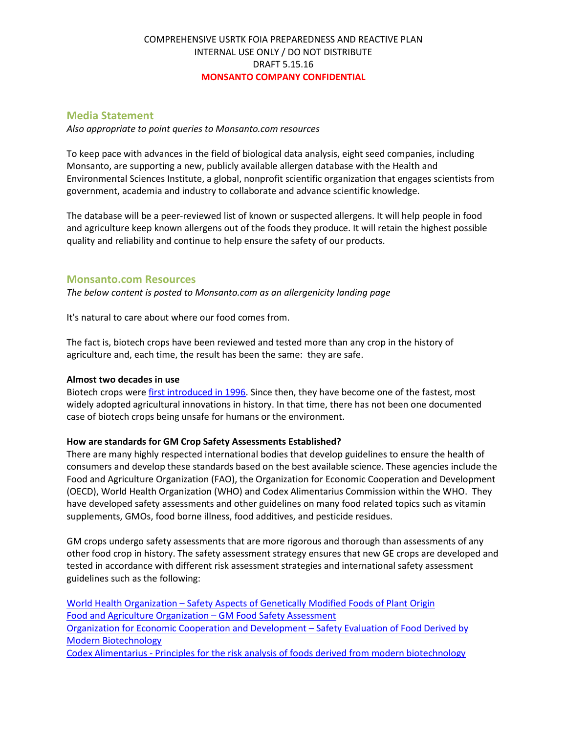#### **Media Statement**

*Also appropriate to point queries to Monsanto.com resources*

To keep pace with advances in the field of biological data analysis, eight seed companies, including Monsanto, are supporting a new, publicly available allergen database with the Health and Environmental Sciences Institute, a global, nonprofit scientific organization that engages scientists from government, academia and industry to collaborate and advance scientific knowledge.

The database will be a peer-reviewed list of known or suspected allergens. It will help people in food and agriculture keep known allergens out of the foods they produce. It will retain the highest possible quality and reliability and continue to help ensure the safety of our products.

#### **Monsanto.com Resources**

*The below content is posted to Monsanto.com as an allergenicity landing page*

It's natural to care about where our food comes from.

The fact is, biotech crops have been reviewed and tested more than any crop in the history of agriculture and, each time, the result has been the same: they are safe.

#### **Almost two decades in use**

Biotech crops were first introduced in 1996. Since then, they have become one of the fastest, most widely adopted agricultural innovations in history. In that time, there has not been one documented case of biotech crops being unsafe for humans or the environment.

#### **How are standards for GM Crop Safety Assessments Established?**

There are many highly respected international bodies that develop guidelines to ensure the health of consumers and develop these standards based on the best available science. These agencies include the Food and Agriculture Organization (FAO), the Organization for Economic Cooperation and Development (OECD), World Health Organization (WHO) and Codex Alimentarius Commission within the WHO. They have developed safety assessments and other guidelines on many food related topics such as vitamin supplements, GMOs, food borne illness, food additives, and pesticide residues.

GM crops undergo safety assessments that are more rigorous and thorough than assessments of any other food crop in history. The safety assessment strategy ensures that new GE crops are developed and tested in accordance with different risk assessment strategies and international safety assessment guidelines such as the following:

World Health Organization – Safety Aspects of Genetically Modified Foods of Plant Origin Food and Agriculture Organization – GM Food Safety Assessment Organization for Economic Cooperation and Development – Safety Evaluation of Food Derived by Modern Biotechnology Codex Alimentarius - Principles for the risk analysis of foods derived from modern biotechnology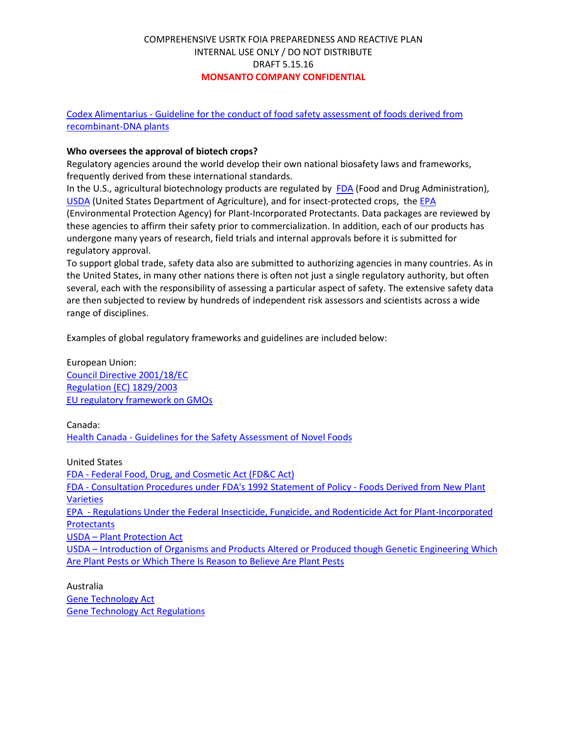Codex Alimentarius - Guideline for the conduct of food safety assessment of foods derived from recombinant-DNA plants

#### **Who oversees the approval of biotech crops?**

Regulatory agencies around the world develop their own national biosafety laws and frameworks, frequently derived from these international standards.

In the U.S., agricultural biotechnology products are regulated by FDA (Food and Drug Administration), USDA (United States Department of Agriculture), and for insect-protected crops, the EPA (Environmental Protection Agency) for Plant-Incorporated Protectants. Data packages are reviewed by these agencies to affirm their safety prior to commercialization. In addition, each of our products has undergone many years of research, field trials and internal approvals before it is submitted for regulatory approval.

To support global trade, safety data also are submitted to authorizing agencies in many countries. As in the United States, in many other nations there is often not just a single regulatory authority, but often several, each with the responsibility of assessing a particular aspect of safety. The extensive safety data are then subjected to review by hundreds of independent risk assessors and scientists across a wide range of disciplines.

Examples of global regulatory frameworks and guidelines are included below:

European Union: Council Directive 2001/18/EC Regulation (EC) 1829/2003 EU regulatory framework on GMOs

Canada: Health Canada - Guidelines for the Safety Assessment of Novel Foods

United States FDA - Federal Food, Drug, and Cosmetic Act (FD&C Act) FDA - Consultation Procedures under FDA's 1992 Statement of Policy - Foods Derived from New Plant **Varieties** EPA - Regulations Under the Federal Insecticide, Fungicide, and Rodenticide Act for Plant-Incorporated **Protectants** USDA – Plant Protection Act USDA – Introduction of Organisms and Products Altered or Produced though Genetic Engineering Which Are Plant Pests or Which There Is Reason to Believe Are Plant Pests

Australia Gene Technology Act Gene Technology Act Regulations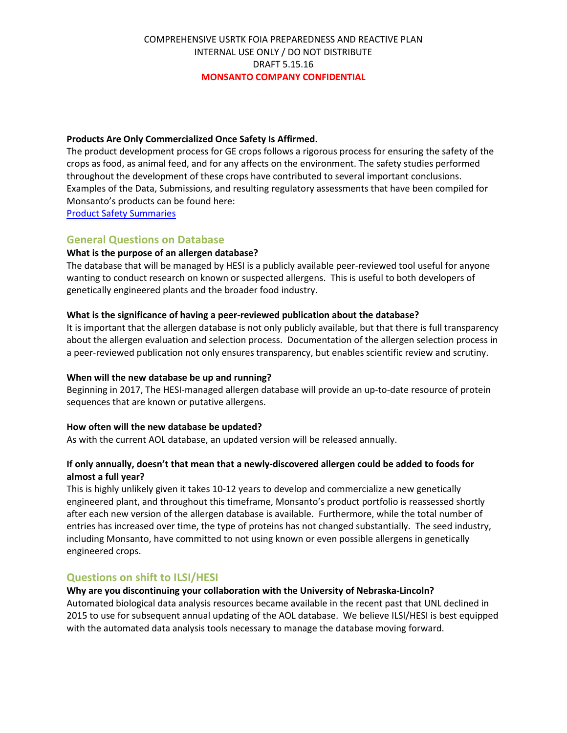#### **Products Are Only Commercialized Once Safety Is Affirmed.**

The product development process for GE crops follows a rigorous process for ensuring the safety of the crops as food, as animal feed, and for any affects on the environment. The safety studies performed throughout the development of these crops have contributed to several important conclusions. Examples of the Data, Submissions, and resulting regulatory assessments that have been compiled for Monsanto's products can be found here:

Product Safety Summaries

## **General Questions on Database**

#### **What is the purpose of an allergen database?**

The database that will be managed by HESI is a publicly available peer-reviewed tool useful for anyone wanting to conduct research on known or suspected allergens. This is useful to both developers of genetically engineered plants and the broader food industry.

#### **What is the significance of having a peer-reviewed publication about the database?**

It is important that the allergen database is not only publicly available, but that there is full transparency about the allergen evaluation and selection process. Documentation of the allergen selection process in a peer-reviewed publication not only ensures transparency, but enables scientific review and scrutiny.

#### **When will the new database be up and running?**

Beginning in 2017, The HESI-managed allergen database will provide an up-to-date resource of protein sequences that are known or putative allergens.

#### **How often will the new database be updated?**

As with the current AOL database, an updated version will be released annually.

#### **If only annually, doesn't that mean that a newly-discovered allergen could be added to foods for almost a full year?**

This is highly unlikely given it takes 10-12 years to develop and commercialize a new genetically engineered plant, and throughout this timeframe, Monsanto's product portfolio is reassessed shortly after each new version of the allergen database is available. Furthermore, while the total number of entries has increased over time, the type of proteins has not changed substantially. The seed industry, including Monsanto, have committed to not using known or even possible allergens in genetically engineered crops.

#### **Questions on shift to ILSI/HESI**

#### **Why are you discontinuing your collaboration with the University of Nebraska-Lincoln?**

Automated biological data analysis resources became available in the recent past that UNL declined in 2015 to use for subsequent annual updating of the AOL database. We believe ILSI/HESI is best equipped with the automated data analysis tools necessary to manage the database moving forward.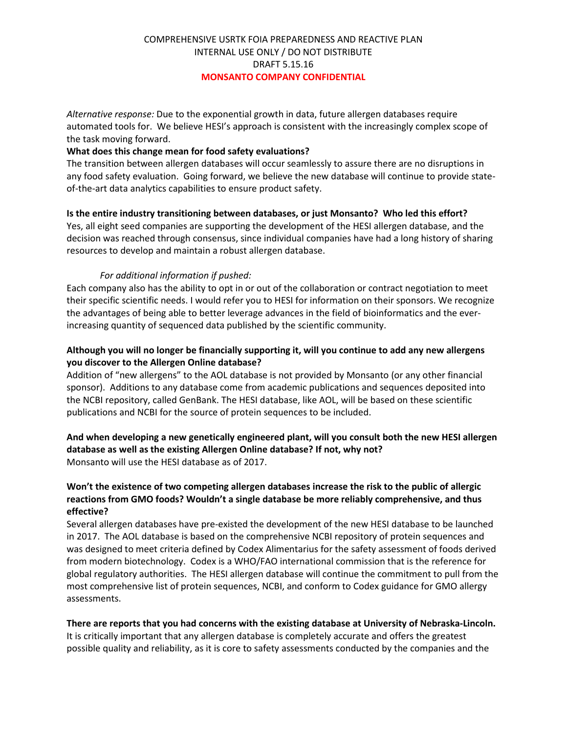*Alternative response:* Due to the exponential growth in data, future allergen databases require automated tools for. We believe HESI's approach is consistent with the increasingly complex scope of the task moving forward.

#### **What does this change mean for food safety evaluations?**

The transition between allergen databases will occur seamlessly to assure there are no disruptions in any food safety evaluation. Going forward, we believe the new database will continue to provide stateof-the-art data analytics capabilities to ensure product safety.

**Is the entire industry transitioning between databases, or just Monsanto? Who led this effort?** Yes, all eight seed companies are supporting the development of the HESI allergen database, and the decision was reached through consensus, since individual companies have had a long history of sharing resources to develop and maintain a robust allergen database.

#### *For additional information if pushed:*

Each company also has the ability to opt in or out of the collaboration or contract negotiation to meet their specific scientific needs. I would refer you to HESI for information on their sponsors. We recognize the advantages of being able to better leverage advances in the field of bioinformatics and the everincreasing quantity of sequenced data published by the scientific community.

#### **Although you will no longer be financially supporting it, will you continue to add any new allergens you discover to the Allergen Online database?**

Addition of "new allergens" to the AOL database is not provided by Monsanto (or any other financial sponsor). Additions to any database come from academic publications and sequences deposited into the NCBI repository, called GenBank. The HESI database, like AOL, will be based on these scientific publications and NCBI for the source of protein sequences to be included.

#### **And when developing a new genetically engineered plant, will you consult both the new HESI allergen database as well as the existing Allergen Online database? If not, why not?**  Monsanto will use the HESI database as of 2017.

#### **Won't the existence of two competing allergen databases increase the risk to the public of allergic reactions from GMO foods? Wouldn't a single database be more reliably comprehensive, and thus effective?**

Several allergen databases have pre-existed the development of the new HESI database to be launched in 2017. The AOL database is based on the comprehensive NCBI repository of protein sequences and was designed to meet criteria defined by Codex Alimentarius for the safety assessment of foods derived from modern biotechnology. Codex is a WHO/FAO international commission that is the reference for global regulatory authorities. The HESI allergen database will continue the commitment to pull from the most comprehensive list of protein sequences, NCBI, and conform to Codex guidance for GMO allergy assessments.

#### **There are reports that you had concerns with the existing database at University of Nebraska-Lincoln.**

It is critically important that any allergen database is completely accurate and offers the greatest possible quality and reliability, as it is core to safety assessments conducted by the companies and the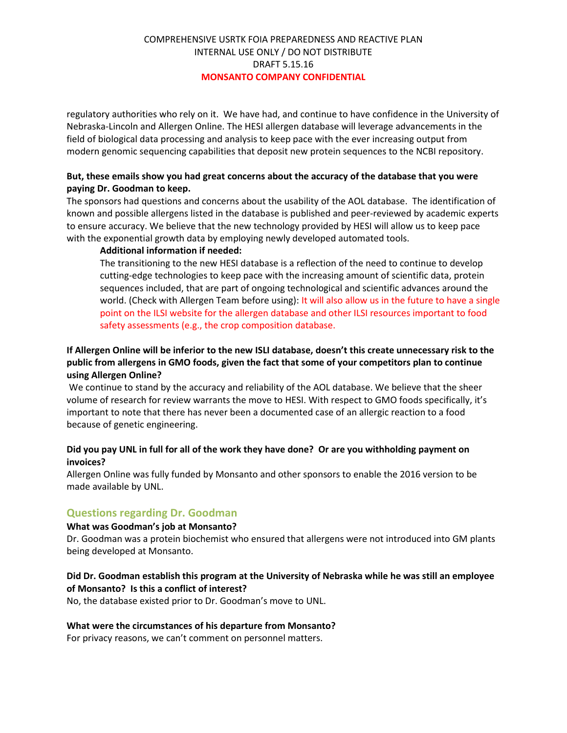regulatory authorities who rely on it. We have had, and continue to have confidence in the University of Nebraska-Lincoln and Allergen Online. The HESI allergen database will leverage advancements in the field of biological data processing and analysis to keep pace with the ever increasing output from modern genomic sequencing capabilities that deposit new protein sequences to the NCBI repository.

#### **But, these emails show you had great concerns about the accuracy of the database that you were paying Dr. Goodman to keep.**

The sponsors had questions and concerns about the usability of the AOL database. The identification of known and possible allergens listed in the database is published and peer-reviewed by academic experts to ensure accuracy. We believe that the new technology provided by HESI will allow us to keep pace with the exponential growth data by employing newly developed automated tools.

#### **Additional information if needed:**

The transitioning to the new HESI database is a reflection of the need to continue to develop cutting-edge technologies to keep pace with the increasing amount of scientific data, protein sequences included, that are part of ongoing technological and scientific advances around the world. (Check with Allergen Team before using): It will also allow us in the future to have a single point on the ILSI website for the allergen database and other ILSI resources important to food safety assessments (e.g., the crop composition database.

## **If Allergen Online will be inferior to the new ISLI database, doesn't this create unnecessary risk to the public from allergens in GMO foods, given the fact that some of your competitors plan to continue using Allergen Online?**

We continue to stand by the accuracy and reliability of the AOL database. We believe that the sheer volume of research for review warrants the move to HESI. With respect to GMO foods specifically, it's important to note that there has never been a documented case of an allergic reaction to a food because of genetic engineering.

#### **Did you pay UNL in full for all of the work they have done? Or are you withholding payment on invoices?**

Allergen Online was fully funded by Monsanto and other sponsors to enable the 2016 version to be made available by UNL.

#### **Questions regarding Dr. Goodman**

#### **What was Goodman's job at Monsanto?**

Dr. Goodman was a protein biochemist who ensured that allergens were not introduced into GM plants being developed at Monsanto.

#### **Did Dr. Goodman establish this program at the University of Nebraska while he was still an employee of Monsanto? Is this a conflict of interest?**

No, the database existed prior to Dr. Goodman's move to UNL.

#### **What were the circumstances of his departure from Monsanto?**

For privacy reasons, we can't comment on personnel matters.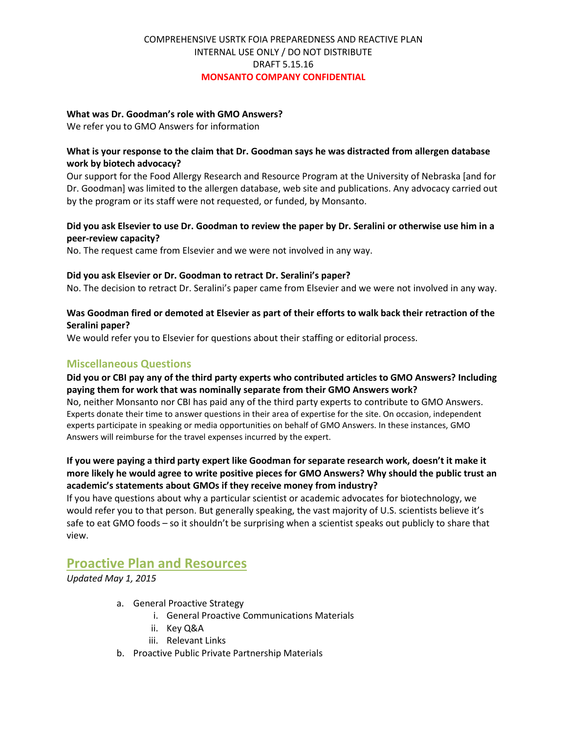#### **What was Dr. Goodman's role with GMO Answers?**

We refer you to GMO Answers for information

#### **What is your response to the claim that Dr. Goodman says he was distracted from allergen database work by biotech advocacy?**

Our support for the Food Allergy Research and Resource Program at the University of Nebraska [and for Dr. Goodman] was limited to the allergen database, web site and publications. Any advocacy carried out by the program or its staff were not requested, or funded, by Monsanto.

#### **Did you ask Elsevier to use Dr. Goodman to review the paper by Dr. Seralini or otherwise use him in a peer-review capacity?**

No. The request came from Elsevier and we were not involved in any way.

#### **Did you ask Elsevier or Dr. Goodman to retract Dr. Seralini's paper?**

No. The decision to retract Dr. Seralini's paper came from Elsevier and we were not involved in any way.

#### **Was Goodman fired or demoted at Elsevier as part of their efforts to walk back their retraction of the Seralini paper?**

We would refer you to Elsevier for questions about their staffing or editorial process.

## **Miscellaneous Questions**

#### **Did you or CBI pay any of the third party experts who contributed articles to GMO Answers? Including paying them for work that was nominally separate from their GMO Answers work?**

No, neither Monsanto nor CBI has paid any of the third party experts to contribute to GMO Answers. Experts donate their time to answer questions in their area of expertise for the site. On occasion, independent experts participate in speaking or media opportunities on behalf of GMO Answers. In these instances, GMO Answers will reimburse for the travel expenses incurred by the expert.

#### **If you were paying a third party expert like Goodman for separate research work, doesn't it make it more likely he would agree to write positive pieces for GMO Answers? Why should the public trust an academic's statements about GMOs if they receive money from industry?**

If you have questions about why a particular scientist or academic advocates for biotechnology, we would refer you to that person. But generally speaking, the vast majority of U.S. scientists believe it's safe to eat GMO foods – so it shouldn't be surprising when a scientist speaks out publicly to share that view.

## **Proactive Plan and Resources**

*Updated May 1, 2015*

- a. General Proactive Strategy
	- i. General Proactive Communications Materials
	- ii. Key Q&A
	- iii. Relevant Links
- b. Proactive Public Private Partnership Materials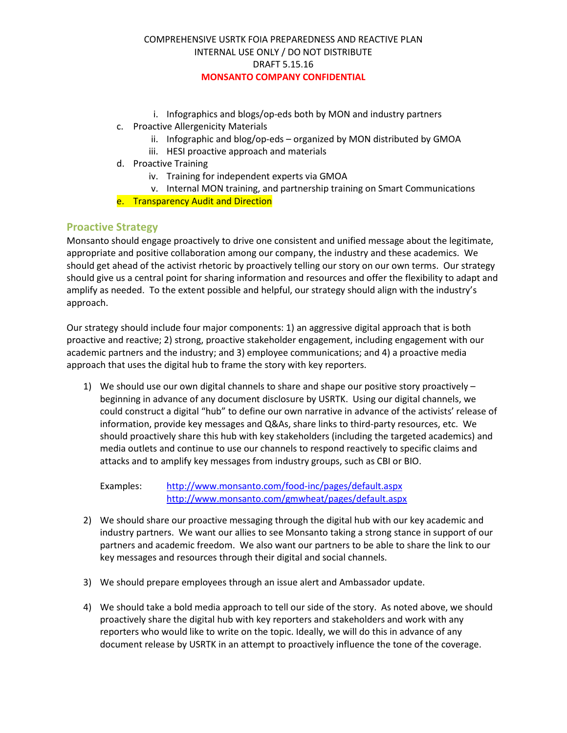- i. Infographics and blogs/op-eds both by MON and industry partners
- c. Proactive Allergenicity Materials
	- ii. Infographic and blog/op-eds organized by MON distributed by GMOA
	- iii. HESI proactive approach and materials
- d. Proactive Training
	- iv. Training for independent experts via GMOA
	- v. Internal MON training, and partnership training on Smart Communications
- e. Transparency Audit and Direction

## **Proactive Strategy**

Monsanto should engage proactively to drive one consistent and unified message about the legitimate, appropriate and positive collaboration among our company, the industry and these academics. We should get ahead of the activist rhetoric by proactively telling our story on our own terms. Our strategy should give us a central point for sharing information and resources and offer the flexibility to adapt and amplify as needed. To the extent possible and helpful, our strategy should align with the industry's approach.

Our strategy should include four major components: 1) an aggressive digital approach that is both proactive and reactive; 2) strong, proactive stakeholder engagement, including engagement with our academic partners and the industry; and 3) employee communications; and 4) a proactive media approach that uses the digital hub to frame the story with key reporters.

1) We should use our own digital channels to share and shape our positive story proactively – beginning in advance of any document disclosure by USRTK. Using our digital channels, we could construct a digital "hub" to define our own narrative in advance of the activists' release of information, provide key messages and Q&As, share links to third-party resources, etc. We should proactively share this hub with key stakeholders (including the targeted academics) and media outlets and continue to use our channels to respond reactively to specific claims and attacks and to amplify key messages from industry groups, such as CBI or BIO.

Examples: http://www.monsanto.com/food-inc/pages/default.aspx http://www.monsanto.com/gmwheat/pages/default.aspx

- 2) We should share our proactive messaging through the digital hub with our key academic and industry partners. We want our allies to see Monsanto taking a strong stance in support of our partners and academic freedom. We also want our partners to be able to share the link to our key messages and resources through their digital and social channels.
- 3) We should prepare employees through an issue alert and Ambassador update.
- 4) We should take a bold media approach to tell our side of the story. As noted above, we should proactively share the digital hub with key reporters and stakeholders and work with any reporters who would like to write on the topic. Ideally, we will do this in advance of any document release by USRTK in an attempt to proactively influence the tone of the coverage.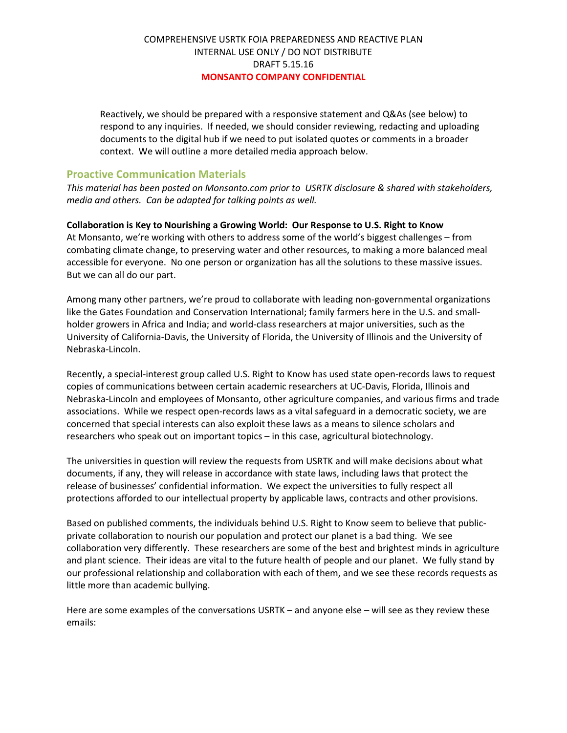Reactively, we should be prepared with a responsive statement and Q&As (see below) to respond to any inquiries. If needed, we should consider reviewing, redacting and uploading documents to the digital hub if we need to put isolated quotes or comments in a broader context. We will outline a more detailed media approach below.

#### **Proactive Communication Materials**

*This material has been posted on Monsanto.com prior to USRTK disclosure & shared with stakeholders, media and others. Can be adapted for talking points as well.* 

#### **Collaboration is Key to Nourishing a Growing World: Our Response to U.S. Right to Know**

At Monsanto, we're working with others to address some of the world's biggest challenges – from combating climate change, to preserving water and other resources, to making a more balanced meal accessible for everyone. No one person or organization has all the solutions to these massive issues. But we can all do our part.

Among many other partners, we're proud to collaborate with leading non-governmental organizations like the Gates Foundation and Conservation International; family farmers here in the U.S. and smallholder growers in Africa and India; and world-class researchers at major universities, such as the University of California-Davis, the University of Florida, the University of Illinois and the University of Nebraska-Lincoln.

Recently, a special-interest group called U.S. Right to Know has used state open-records laws to request copies of communications between certain academic researchers at UC-Davis, Florida, Illinois and Nebraska-Lincoln and employees of Monsanto, other agriculture companies, and various firms and trade associations. While we respect open-records laws as a vital safeguard in a democratic society, we are concerned that special interests can also exploit these laws as a means to silence scholars and researchers who speak out on important topics – in this case, agricultural biotechnology.

The universities in question will review the requests from USRTK and will make decisions about what documents, if any, they will release in accordance with state laws, including laws that protect the release of businesses' confidential information. We expect the universities to fully respect all protections afforded to our intellectual property by applicable laws, contracts and other provisions.

Based on published comments, the individuals behind U.S. Right to Know seem to believe that publicprivate collaboration to nourish our population and protect our planet is a bad thing. We see collaboration very differently. These researchers are some of the best and brightest minds in agriculture and plant science. Their ideas are vital to the future health of people and our planet. We fully stand by our professional relationship and collaboration with each of them, and we see these records requests as little more than academic bullying.

Here are some examples of the conversations USRTK – and anyone else – will see as they review these emails: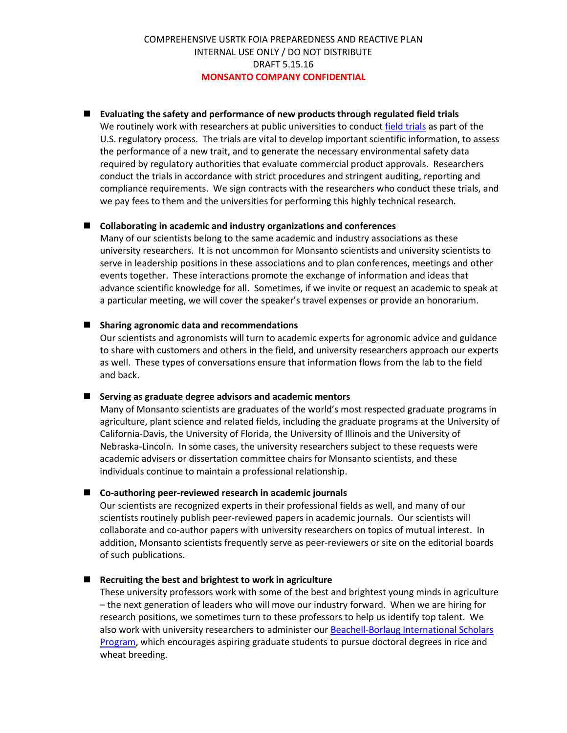#### **Evaluating the safety and performance of new products through regulated field trials**

We routinely work with researchers at public universities to conduct field trials as part of the U.S. regulatory process. The trials are vital to develop important scientific information, to assess the performance of a new trait, and to generate the necessary environmental safety data required by regulatory authorities that evaluate commercial product approvals. Researchers conduct the trials in accordance with strict procedures and stringent auditing, reporting and compliance requirements. We sign contracts with the researchers who conduct these trials, and we pay fees to them and the universities for performing this highly technical research.

#### **Collaborating in academic and industry organizations and conferences**

Many of our scientists belong to the same academic and industry associations as these university researchers. It is not uncommon for Monsanto scientists and university scientists to serve in leadership positions in these associations and to plan conferences, meetings and other events together. These interactions promote the exchange of information and ideas that advance scientific knowledge for all. Sometimes, if we invite or request an academic to speak at a particular meeting, we will cover the speaker's travel expenses or provide an honorarium.

#### ■ Sharing agronomic data and recommendations

Our scientists and agronomists will turn to academic experts for agronomic advice and guidance to share with customers and others in the field, and university researchers approach our experts as well. These types of conversations ensure that information flows from the lab to the field and back.

#### **Serving as graduate degree advisors and academic mentors**

Many of Monsanto scientists are graduates of the world's most respected graduate programs in agriculture, plant science and related fields, including the graduate programs at the University of California-Davis, the University of Florida, the University of Illinois and the University of Nebraska-Lincoln. In some cases, the university researchers subject to these requests were academic advisers or dissertation committee chairs for Monsanto scientists, and these individuals continue to maintain a professional relationship.

#### **Co-authoring peer-reviewed research in academic journals**

Our scientists are recognized experts in their professional fields as well, and many of our scientists routinely publish peer-reviewed papers in academic journals. Our scientists will collaborate and co-author papers with university researchers on topics of mutual interest. In addition, Monsanto scientists frequently serve as peer-reviewers or site on the editorial boards of such publications.

#### **Recruiting the best and brightest to work in agriculture**

These university professors work with some of the best and brightest young minds in agriculture – the next generation of leaders who will move our industry forward. When we are hiring for research positions, we sometimes turn to these professors to help us identify top talent. We also work with university researchers to administer our Beachell-Borlaug International Scholars Program, which encourages aspiring graduate students to pursue doctoral degrees in rice and wheat breeding.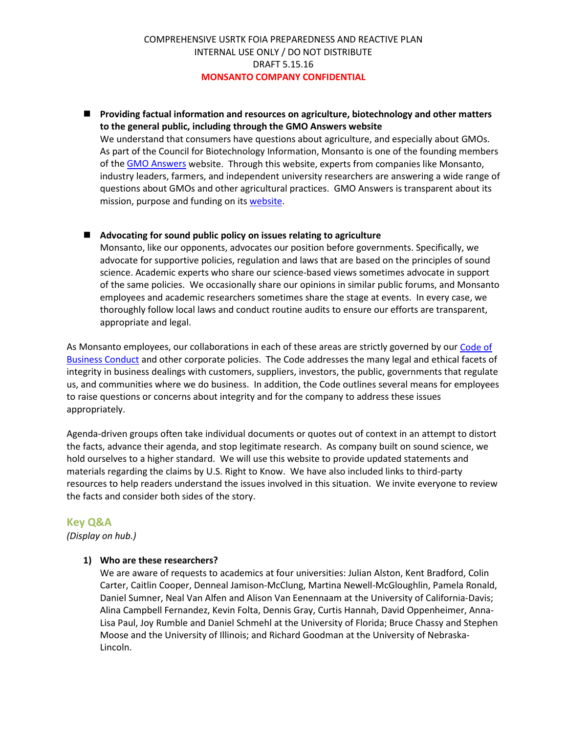#### **Providing factual information and resources on agriculture, biotechnology and other matters to the general public, including through the GMO Answers website**

We understand that consumers have questions about agriculture, and especially about GMOs. As part of the Council for Biotechnology Information, Monsanto is one of the founding members of the GMO Answers website. Through this website, experts from companies like Monsanto, industry leaders, farmers, and independent university researchers are answering a wide range of questions about GMOs and other agricultural practices. GMO Answers is transparent about its mission, purpose and funding on its website.

#### **Advocating for sound public policy on issues relating to agriculture**

Monsanto, like our opponents, advocates our position before governments. Specifically, we advocate for supportive policies, regulation and laws that are based on the principles of sound science. Academic experts who share our science-based views sometimes advocate in support of the same policies. We occasionally share our opinions in similar public forums, and Monsanto employees and academic researchers sometimes share the stage at events. In every case, we thoroughly follow local laws and conduct routine audits to ensure our efforts are transparent, appropriate and legal.

As Monsanto employees, our collaborations in each of these areas are strictly governed by our Code of Business Conduct and other corporate policies. The Code addresses the many legal and ethical facets of integrity in business dealings with customers, suppliers, investors, the public, governments that regulate us, and communities where we do business. In addition, the Code outlines several means for employees to raise questions or concerns about integrity and for the company to address these issues appropriately.

Agenda-driven groups often take individual documents or quotes out of context in an attempt to distort the facts, advance their agenda, and stop legitimate research. As company built on sound science, we hold ourselves to a higher standard. We will use this website to provide updated statements and materials regarding the claims by U.S. Right to Know. We have also included links to third-party resources to help readers understand the issues involved in this situation. We invite everyone to review the facts and consider both sides of the story.

#### **Key Q&A**

*(Display on hub.)*

#### **1) Who are these researchers?**

We are aware of requests to academics at four universities: Julian Alston, Kent Bradford, Colin Carter, Caitlin Cooper, Denneal Jamison-McClung, Martina Newell-McGloughlin, Pamela Ronald, Daniel Sumner, Neal Van Alfen and Alison Van Eenennaam at the University of California-Davis; Alina Campbell Fernandez, Kevin Folta, Dennis Gray, Curtis Hannah, David Oppenheimer, Anna-Lisa Paul, Joy Rumble and Daniel Schmehl at the University of Florida; Bruce Chassy and Stephen Moose and the University of Illinois; and Richard Goodman at the University of Nebraska-Lincoln.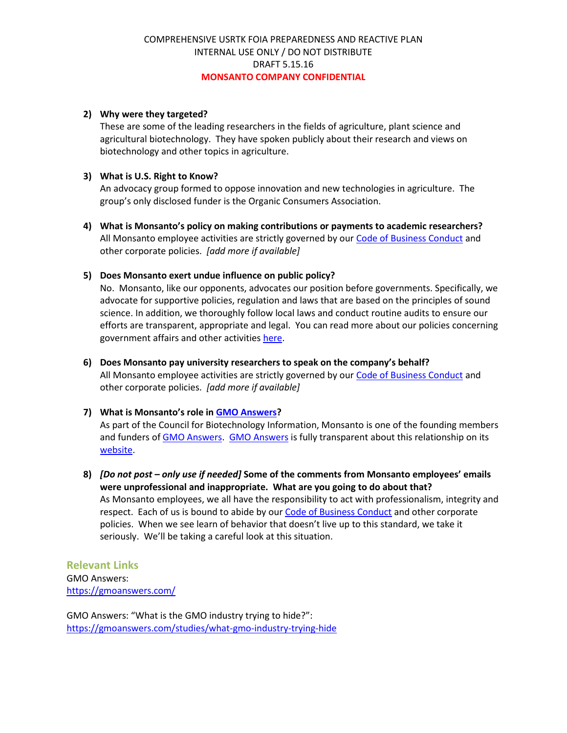#### **2) Why were they targeted?**

These are some of the leading researchers in the fields of agriculture, plant science and agricultural biotechnology. They have spoken publicly about their research and views on biotechnology and other topics in agriculture.

#### **3) What is U.S. Right to Know?**

An advocacy group formed to oppose innovation and new technologies in agriculture. The group's only disclosed funder is the Organic Consumers Association.

**4) What is Monsanto's policy on making contributions or payments to academic researchers?** All Monsanto employee activities are strictly governed by our Code of Business Conduct and other corporate policies. *[add more if available]*

#### **5) Does Monsanto exert undue influence on public policy?**

No. Monsanto, like our opponents, advocates our position before governments. Specifically, we advocate for supportive policies, regulation and laws that are based on the principles of sound science. In addition, we thoroughly follow local laws and conduct routine audits to ensure our efforts are transparent, appropriate and legal. You can read more about our policies concerning government affairs and other activities here.

**6) Does Monsanto pay university researchers to speak on the company's behalf?** All Monsanto employee activities are strictly governed by our Code of Business Conduct and other corporate policies. *[add more if available]*

#### **7) What is Monsanto's role in GMO Answers?**

As part of the Council for Biotechnology Information, Monsanto is one of the founding members and funders of GMO Answers. GMO Answers is fully transparent about this relationship on its website.

**8)** *[Do not post – only use if needed]* **Some of the comments from Monsanto employees' emails were unprofessional and inappropriate. What are you going to do about that?** As Monsanto employees, we all have the responsibility to act with professionalism, integrity and respect.Each of us is bound to abide by our Code of Business Conduct and other corporate policies. When we see learn of behavior that doesn't live up to this standard, we take it seriously. We'll be taking a careful look at this situation.

**Relevant Links** GMO Answers: https://gmoanswers.com/

GMO Answers: "What is the GMO industry trying to hide?": https://gmoanswers.com/studies/what-gmo-industry-trying-hide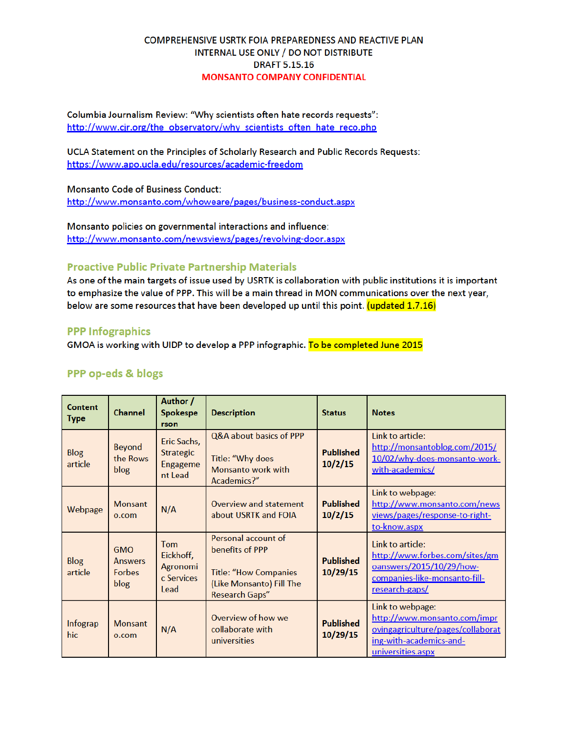Columbia Journalism Review: "Why scientists often hate records requests": http://www.cjr.org/the observatory/why scientists often hate reco.php

UCLA Statement on the Principles of Scholarly Research and Public Records Requests: https://www.apo.ucla.edu/resources/academic-freedom

Monsanto Code of Business Conduct: http://www.monsanto.com/whoweare/pages/business-conduct.aspx

Monsanto policies on governmental interactions and influence: http://www.monsanto.com/newsviews/pages/revolving-door.aspx

## **Proactive Public Private Partnership Materials**

As one of the main targets of issue used by USRTK is collaboration with public institutions it is important to emphasize the value of PPP. This will be a main thread in MON communications over the next year, below are some resources that have been developed up until this point. (updated 1.7.16)

#### **PPP Infographics**

GMOA is working with UIDP to develop a PPP infographic. To be completed June 2015

#### PPP op-eds & blogs

| Content<br><b>Type</b> | <b>Channel</b>                                        | Author /<br>Spokespe<br>rson                           | <b>Description</b>                                                                                                   | <b>Status</b>                | <b>Notes</b>                                                                                                                          |
|------------------------|-------------------------------------------------------|--------------------------------------------------------|----------------------------------------------------------------------------------------------------------------------|------------------------------|---------------------------------------------------------------------------------------------------------------------------------------|
| <b>Blog</b><br>article | <b>Beyond</b><br>the Rows<br>blog                     | Eric Sachs,<br><b>Strategic</b><br>Engageme<br>nt Lead | Q&A about basics of PPP<br>Title: "Why does<br>Monsanto work with<br>Academics?"                                     | <b>Published</b><br>10/2/15  | Link to article:<br>http://monsantoblog.com/2015/<br>10/02/why-does-monsanto-work-<br>with-academics/                                 |
| Webpage                | <b>Monsant</b><br>o.com                               | N/A                                                    | Overview and statement<br>about USRTK and FOIA                                                                       | <b>Published</b><br>10/2/15  | Link to webpage:<br>http://www.monsanto.com/news<br><u>views/pages/response-to-right-</u><br>to-know.aspx                             |
| <b>Blog</b><br>article | <b>GMO</b><br><b>Answers</b><br><b>Forbes</b><br>blog | Tom<br>Eickhoff,<br>Agronomi<br>c Services<br>Lead     | Personal account of<br>benefits of PPP<br><b>Title: "How Companies</b><br>(Like Monsanto) Fill The<br>Research Gaps" | <b>Published</b><br>10/29/15 | Link to article:<br>http://www.forbes.com/sites/gm<br>oanswers/2015/10/29/how-<br>companies-like-monsanto-fill-<br>research-gaps/     |
| Infograp<br>hic        | <b>Monsant</b><br>0.00 <sub>m</sub>                   | N/A                                                    | Overview of how we<br>collaborate with<br>universities                                                               | <b>Published</b><br>10/29/15 | Link to webpage:<br>http://www.monsanto.com/impr<br>ovingagriculture/pages/collaborat<br>ing-with-academics-and-<br>universities.aspx |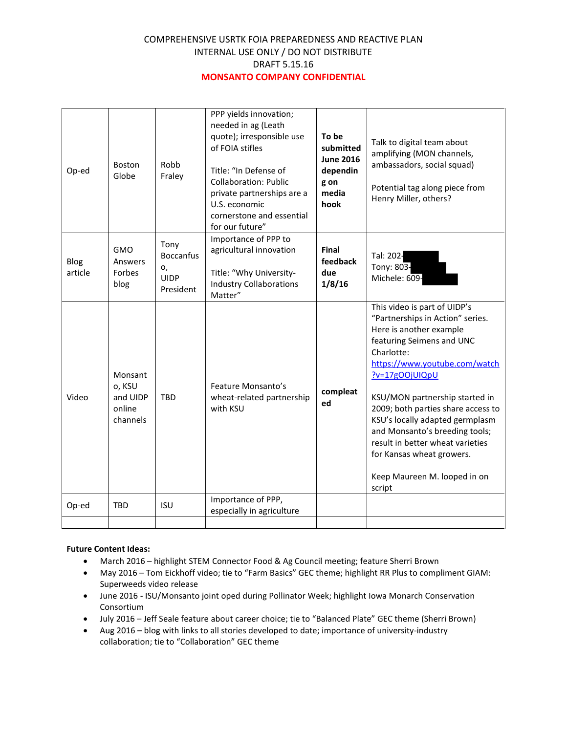| Op-ed           | <b>Boston</b><br>Globe                              | Robb<br>Fraley                                             | PPP yields innovation;<br>needed in ag (Leath<br>quote); irresponsible use<br>of FOIA stifles<br>Title: "In Defense of<br><b>Collaboration: Public</b><br>private partnerships are a<br>U.S. economic<br>cornerstone and essential<br>for our future" | To be<br>submitted<br><b>June 2016</b><br>dependin<br>g on<br>media<br>hook | Talk to digital team about<br>amplifying (MON channels,<br>ambassadors, social squad)<br>Potential tag along piece from<br>Henry Miller, others?                                                                                                                                                                                                                                                                                                  |
|-----------------|-----------------------------------------------------|------------------------------------------------------------|-------------------------------------------------------------------------------------------------------------------------------------------------------------------------------------------------------------------------------------------------------|-----------------------------------------------------------------------------|---------------------------------------------------------------------------------------------------------------------------------------------------------------------------------------------------------------------------------------------------------------------------------------------------------------------------------------------------------------------------------------------------------------------------------------------------|
| Blog<br>article | <b>GMO</b><br>Answers<br>Forbes<br>blog             | Tony<br><b>Boccanfus</b><br>о,<br><b>UIDP</b><br>President | Importance of PPP to<br>agricultural innovation<br>Title: "Why University-<br><b>Industry Collaborations</b><br>Matter"                                                                                                                               | Final<br>feedback<br>due<br>1/8/16                                          | Tal: 202-<br>Tony: 803-<br>Michele: 609-                                                                                                                                                                                                                                                                                                                                                                                                          |
| Video           | Monsant<br>o, KSU<br>and UIDP<br>online<br>channels | <b>TBD</b>                                                 | Feature Monsanto's<br>wheat-related partnership<br>with KSU                                                                                                                                                                                           | compleat<br>ed                                                              | This video is part of UIDP's<br>"Partnerships in Action" series.<br>Here is another example<br>featuring Seimens and UNC<br>Charlotte:<br>https://www.youtube.com/watch<br>?v=17gOOjUIQpU<br>KSU/MON partnership started in<br>2009; both parties share access to<br>KSU's locally adapted germplasm<br>and Monsanto's breeding tools;<br>result in better wheat varieties<br>for Kansas wheat growers.<br>Keep Maureen M. looped in on<br>script |
| Op-ed           | <b>TBD</b>                                          | <b>ISU</b>                                                 | Importance of PPP,<br>especially in agriculture                                                                                                                                                                                                       |                                                                             |                                                                                                                                                                                                                                                                                                                                                                                                                                                   |
|                 |                                                     |                                                            |                                                                                                                                                                                                                                                       |                                                                             |                                                                                                                                                                                                                                                                                                                                                                                                                                                   |

#### **Future Content Ideas:**

- March 2016 highlight STEM Connector Food & Ag Council meeting; feature Sherri Brown
- May 2016 Tom Eickhoff video; tie to "Farm Basics" GEC theme; highlight RR Plus to compliment GIAM: Superweeds video release
- June 2016 ISU/Monsanto joint oped during Pollinator Week; highlight Iowa Monarch Conservation Consortium
- July 2016 Jeff Seale feature about career choice; tie to "Balanced Plate" GEC theme (Sherri Brown)
- Aug 2016 blog with links to all stories developed to date; importance of university-industry collaboration; tie to "Collaboration" GEC theme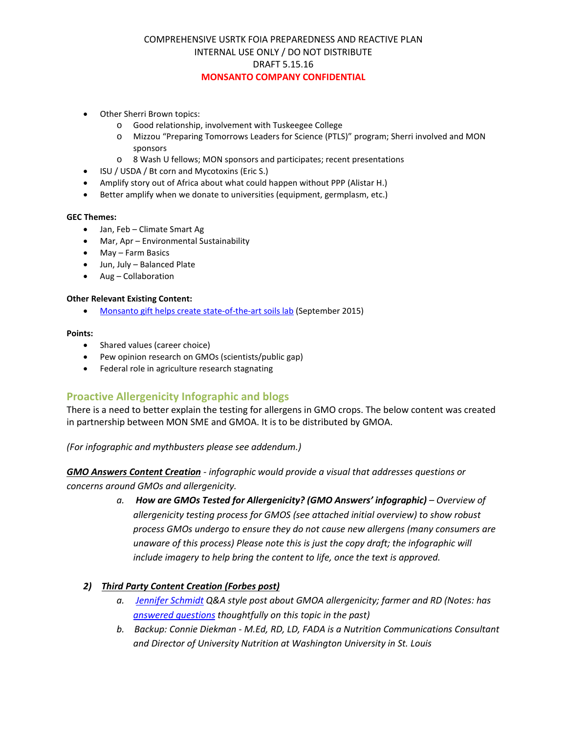- Other Sherri Brown topics:
	- o Good relationship, involvement with Tuskeegee College
	- o Mizzou "Preparing Tomorrows Leaders for Science (PTLS)" program; Sherri involved and MON sponsors
	- o 8 Wash U fellows; MON sponsors and participates; recent presentations
- ISU / USDA / Bt corn and Mycotoxins (Eric S.)
- Amplify story out of Africa about what could happen without PPP (Alistar H.)
- Better amplify when we donate to universities (equipment, germplasm, etc.)

#### **GEC Themes:**

- Jan, Feb Climate Smart Ag
- Mar, Apr Environmental Sustainability
- May Farm Basics
- Jun, July Balanced Plate
- Aug Collaboration

#### **Other Relevant Existing Content:**

• Monsanto gift helps create state-of-the-art soils lab (September 2015)

#### **Points:**

- Shared values (career choice)
- Pew opinion research on GMOs (scientists/public gap)
- Federal role in agriculture research stagnating

#### **Proactive Allergenicity Infographic and blogs**

There is a need to better explain the testing for allergens in GMO crops. The below content was created in partnership between MON SME and GMOA. It is to be distributed by GMOA.

*(For infographic and mythbusters please see addendum.)*

*GMO Answers Content Creation - infographic would provide a visual that addresses questions or concerns around GMOs and allergenicity.*

> *a. How are GMOs Tested for Allergenicity? (GMO Answers' infographic) – Overview of allergenicity testing process for GMOS (see attached initial overview) to show robust process GMOs undergo to ensure they do not cause new allergens (many consumers are unaware of this process) Please note this is just the copy draft; the infographic will include imagery to help bring the content to life, once the text is approved.*

#### *2) Third Party Content Creation (Forbes post)*

- *a. Jennifer Schmidt Q&A style post about GMOA allergenicity; farmer and RD (Notes: has answered questions thoughtfully on this topic in the past)*
- *b. Backup: Connie Diekman - M.Ed, RD, LD, FADA is a Nutrition Communications Consultant and Director of University Nutrition at Washington University in St. Louis*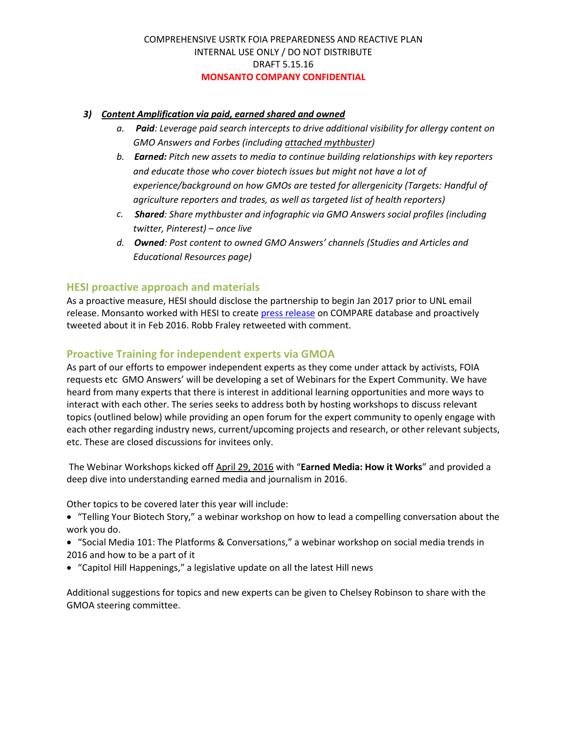#### *3) Content Amplification via paid, earned shared and owned*

- *a. Paid: Leverage paid search intercepts to drive additional visibility for allergy content on GMO Answers and Forbes (including attached mythbuster)*
- *b. Earned: Pitch new assets to media to continue building relationships with key reporters and educate those who cover biotech issues but might not have a lot of experience/background on how GMOs are tested for allergenicity (Targets: Handful of agriculture reporters and trades, as well as targeted list of health reporters)*
- *c. Shared: Share mythbuster and infographic via GMO Answers social profiles (including twitter, Pinterest) – once live*
- *d. Owned: Post content to owned GMO Answers' channels (Studies and Articles and Educational Resources page)*

## **HESI proactive approach and materials**

As a proactive measure, HESI should disclose the partnership to begin Jan 2017 prior to UNL email release. Monsanto worked with HESI to create press release on COMPARE database and proactively tweeted about it in Feb 2016. Robb Fraley retweeted with comment.

## **Proactive Training for independent experts via GMOA**

As part of our efforts to empower independent experts as they come under attack by activists, FOIA requests etc GMO Answers' will be developing a set of Webinars for the Expert Community. We have heard from many experts that there is interest in additional learning opportunities and more ways to interact with each other. The series seeks to address both by hosting workshops to discuss relevant topics (outlined below) while providing an open forum for the expert community to openly engage with each other regarding industry news, current/upcoming projects and research, or other relevant subjects, etc. These are closed discussions for invitees only.

The Webinar Workshops kicked off April 29, 2016 with "**Earned Media: How it Works**" and provided a deep dive into understanding earned media and journalism in 2016.

Other topics to be covered later this year will include:

- "Telling Your Biotech Story," a webinar workshop on how to lead a compelling conversation about the work you do.
- "Social Media 101: The Platforms & Conversations," a webinar workshop on social media trends in 2016 and how to be a part of it
- "Capitol Hill Happenings," a legislative update on all the latest Hill news

Additional suggestions for topics and new experts can be given to Chelsey Robinson to share with the GMOA steering committee.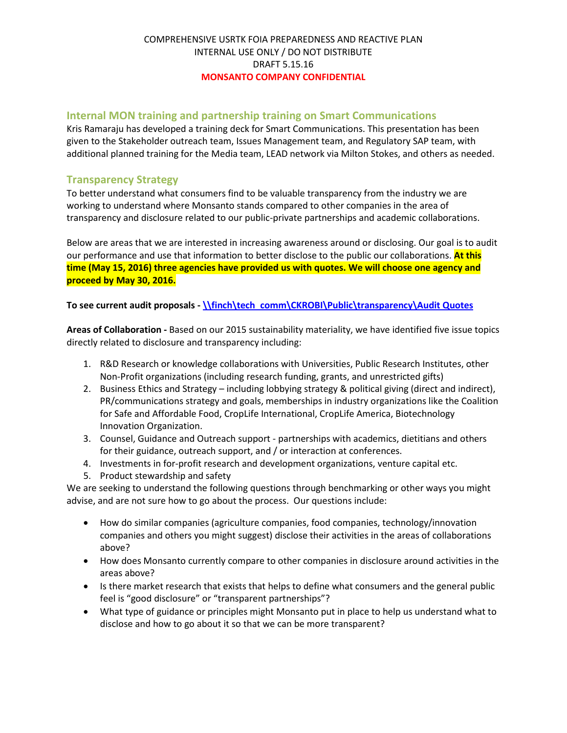## **Internal MON training and partnership training on Smart Communications**

Kris Ramaraju has developed a training deck for Smart Communications. This presentation has been given to the Stakeholder outreach team, Issues Management team, and Regulatory SAP team, with additional planned training for the Media team, LEAD network via Milton Stokes, and others as needed.

## **Transparency Strategy**

To better understand what consumers find to be valuable transparency from the industry we are working to understand where Monsanto stands compared to other companies in the area of transparency and disclosure related to our public-private partnerships and academic collaborations.

Below are areas that we are interested in increasing awareness around or disclosing. Our goal is to audit our performance and use that information to better disclose to the public our collaborations. **At this time (May 15, 2016) three agencies have provided us with quotes. We will choose one agency and proceed by May 30, 2016.** 

#### **To see current audit proposals - \\finch\tech comm\CKROBI\Public\transparency\Audit Quotes**

**Areas of Collaboration -** Based on our 2015 sustainability materiality, we have identified five issue topics directly related to disclosure and transparency including:

- 1. R&D Research or knowledge collaborations with Universities, Public Research Institutes, other Non-Profit organizations (including research funding, grants, and unrestricted gifts)
- 2. Business Ethics and Strategy including lobbying strategy & political giving (direct and indirect), PR/communications strategy and goals, memberships in industry organizations like the Coalition for Safe and Affordable Food, CropLife International, CropLife America, Biotechnology Innovation Organization.
- 3. Counsel, Guidance and Outreach support partnerships with academics, dietitians and others for their guidance, outreach support, and / or interaction at conferences.
- 4. Investments in for-profit research and development organizations, venture capital etc.
- 5. Product stewardship and safety

We are seeking to understand the following questions through benchmarking or other ways you might advise, and are not sure how to go about the process. Our questions include:

- How do similar companies (agriculture companies, food companies, technology/innovation companies and others you might suggest) disclose their activities in the areas of collaborations above?
- How does Monsanto currently compare to other companies in disclosure around activities in the areas above?
- Is there market research that exists that helps to define what consumers and the general public feel is "good disclosure" or "transparent partnerships"?
- What type of guidance or principles might Monsanto put in place to help us understand what to disclose and how to go about it so that we can be more transparent?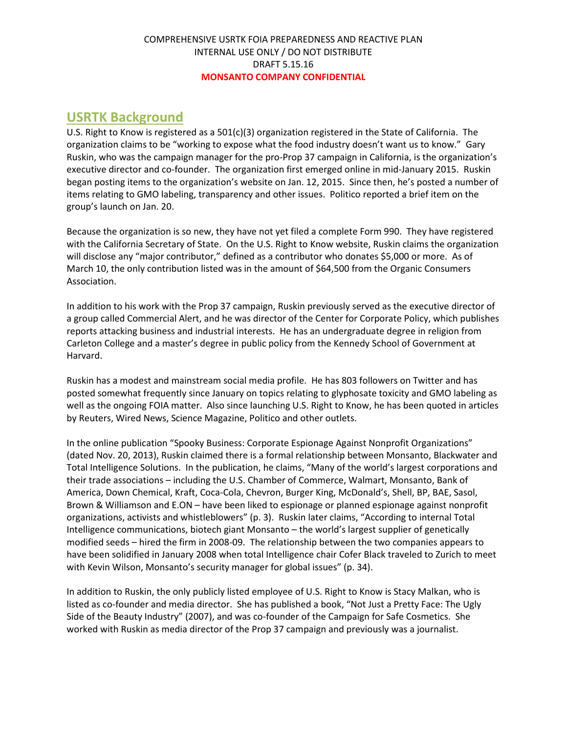# **USRTK Background**

U.S. Right to Know is registered as a 501(c)(3) organization registered in the State of California. The organization claims to be "working to expose what the food industry doesn't want us to know." Gary Ruskin, who was the campaign manager for the pro-Prop 37 campaign in California, is the organization's executive director and co-founder. The organization first emerged online in mid-January 2015. Ruskin began posting items to the organization's website on Jan. 12, 2015. Since then, he's posted a number of items relating to GMO labeling, transparency and other issues. Politico reported a brief item on the group's launch on Jan. 20.

Because the organization is so new, they have not yet filed a complete Form 990. They have registered with the California Secretary of State. On the U.S. Right to Know website, Ruskin claims the organization will disclose any "major contributor," defined as a contributor who donates \$5,000 or more. As of March 10, the only contribution listed was in the amount of \$64,500 from the Organic Consumers Association.

In addition to his work with the Prop 37 campaign, Ruskin previously served as the executive director of a group called Commercial Alert, and he was director of the Center for Corporate Policy, which publishes reports attacking business and industrial interests. He has an undergraduate degree in religion from Carleton College and a master's degree in public policy from the Kennedy School of Government at Harvard.

Ruskin has a modest and mainstream social media profile. He has 803 followers on Twitter and has posted somewhat frequently since January on topics relating to glyphosate toxicity and GMO labeling as well as the ongoing FOIA matter. Also since launching U.S. Right to Know, he has been quoted in articles by Reuters, Wired News, Science Magazine, Politico and other outlets.

In the online publication "Spooky Business: Corporate Espionage Against Nonprofit Organizations" (dated Nov. 20, 2013), Ruskin claimed there is a formal relationship between Monsanto, Blackwater and Total Intelligence Solutions. In the publication, he claims, "Many of the world's largest corporations and their trade associations – including the U.S. Chamber of Commerce, Walmart, Monsanto, Bank of America, Down Chemical, Kraft, Coca-Cola, Chevron, Burger King, McDonald's, Shell, BP, BAE, Sasol, Brown & Williamson and E.ON – have been liked to espionage or planned espionage against nonprofit organizations, activists and whistleblowers" (p. 3). Ruskin later claims, "According to internal Total Intelligence communications, biotech giant Monsanto – the world's largest supplier of genetically modified seeds – hired the firm in 2008-09. The relationship between the two companies appears to have been solidified in January 2008 when total Intelligence chair Cofer Black traveled to Zurich to meet with Kevin Wilson, Monsanto's security manager for global issues" (p. 34).

In addition to Ruskin, the only publicly listed employee of U.S. Right to Know is Stacy Malkan, who is listed as co-founder and media director. She has published a book, "Not Just a Pretty Face: The Ugly Side of the Beauty Industry" (2007), and was co-founder of the Campaign for Safe Cosmetics. She worked with Ruskin as media director of the Prop 37 campaign and previously was a journalist.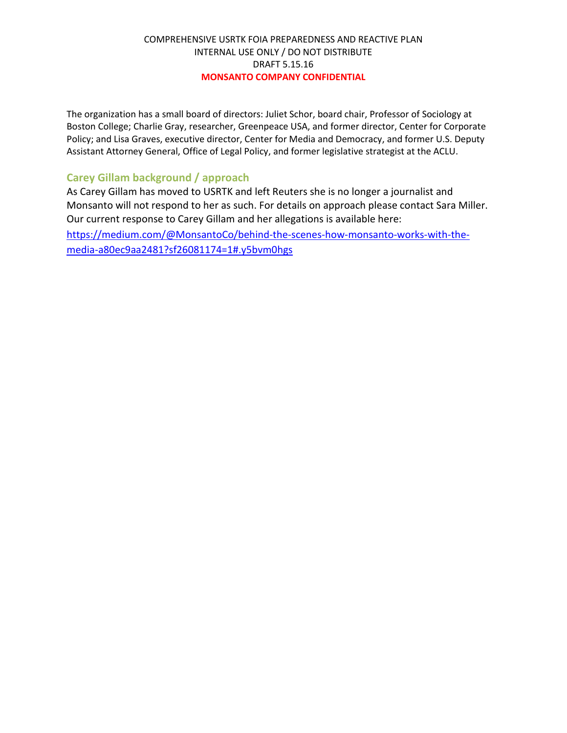The organization has a small board of directors: Juliet Schor, board chair, Professor of Sociology at Boston College; Charlie Gray, researcher, Greenpeace USA, and former director, Center for Corporate Policy; and Lisa Graves, executive director, Center for Media and Democracy, and former U.S. Deputy Assistant Attorney General, Office of Legal Policy, and former legislative strategist at the ACLU.

## **Carey Gillam background / approach**

As Carey Gillam has moved to USRTK and left Reuters she is no longer a journalist and Monsanto will not respond to her as such. For details on approach please contact Sara Miller. Our current response to Carey Gillam and her allegations is available here:

https://medium.com/@MonsantoCo/behind-the-scenes-how-monsanto-works-with-themedia-a80ec9aa2481?sf26081174=1#.y5bvm0hgs